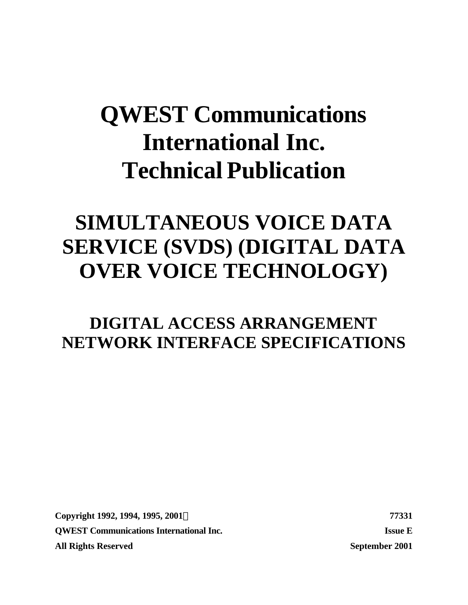# **QWEST Communications International Inc. Technical Publication**

# **SIMULTANEOUS VOICE DATA SERVICE (SVDS) (DIGITAL DATA OVER VOICE TECHNOLOGY)**

# **DIGITAL ACCESS ARRANGEMENT NETWORK INTERFACE SPECIFICATIONS**

**Copyright 1992, 1994, 1995, 2001Ó 77331 QWEST Communications International Inc. Issue E All Rights Reserved September 2001**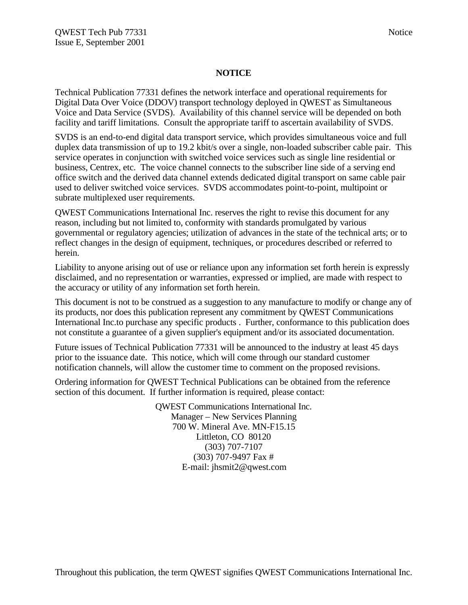### **NOTICE**

Technical Publication 77331 defines the network interface and operational requirements for Digital Data Over Voice (DDOV) transport technology deployed in QWEST as Simultaneous Voice and Data Service (SVDS). Availability of this channel service will be depended on both facility and tariff limitations. Consult the appropriate tariff to ascertain availability of SVDS.

SVDS is an end-to-end digital data transport service, which provides simultaneous voice and full duplex data transmission of up to 19.2 kbit/s over a single, non-loaded subscriber cable pair. This service operates in conjunction with switched voice services such as single line residential or business, Centrex, etc. The voice channel connects to the subscriber line side of a serving end office switch and the derived data channel extends dedicated digital transport on same cable pair used to deliver switched voice services. SVDS accommodates point-to-point, multipoint or subrate multiplexed user requirements.

QWEST Communications International Inc. reserves the right to revise this document for any reason, including but not limited to, conformity with standards promulgated by various governmental or regulatory agencies; utilization of advances in the state of the technical arts; or to reflect changes in the design of equipment, techniques, or procedures described or referred to herein.

Liability to anyone arising out of use or reliance upon any information set forth herein is expressly disclaimed, and no representation or warranties, expressed or implied, are made with respect to the accuracy or utility of any information set forth herein.

This document is not to be construed as a suggestion to any manufacture to modify or change any of its products, nor does this publication represent any commitment by QWEST Communications International Inc.to purchase any specific products . Further, conformance to this publication does not constitute a guarantee of a given supplier's equipment and/or its associated documentation.

Future issues of Technical Publication 77331 will be announced to the industry at least 45 days prior to the issuance date. This notice, which will come through our standard customer notification channels, will allow the customer time to comment on the proposed revisions.

Ordering information for QWEST Technical Publications can be obtained from the reference section of this document. If further information is required, please contact:

> QWEST Communications International Inc. Manager – New Services Planning 700 W. Mineral Ave. MN-F15.15 Littleton, CO 80120 (303) 707-7107 (303) 707-9497 Fax # E-mail: jhsmit2@qwest.com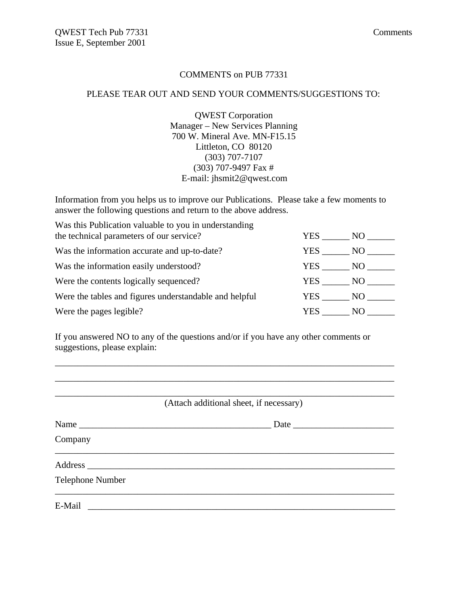### COMMENTS on PUB 77331

### PLEASE TEAR OUT AND SEND YOUR COMMENTS/SUGGESTIONS TO:

QWEST Corporation Manager – New Services Planning 700 W. Mineral Ave. MN-F15.15 Littleton, CO 80120 (303) 707-7107 (303) 707-9497 Fax # E-mail: jhsmit2@qwest.com

Information from you helps us to improve our Publications. Please take a few moments to answer the following questions and return to the above address.

Was this Publication valuable to you in understanding the technical parameters of our service?  $YES$  NO

| the technical parameters of our service:               |        | $1 \text{LQ}$ $1 \text{VQ}$ |  |
|--------------------------------------------------------|--------|-----------------------------|--|
| Was the information accurate and up-to-date?           | YES —  | NO.                         |  |
| Was the information easily understood?                 | YES 77 | NO.                         |  |
| Were the contents logically sequenced?                 | YES 77 | NO D                        |  |
| Were the tables and figures understandable and helpful |        | YES NO                      |  |
| Were the pages legible?                                | YES.   | N()                         |  |

If you answered NO to any of the questions and/or if you have any other comments or suggestions, please explain:

\_\_\_\_\_\_\_\_\_\_\_\_\_\_\_\_\_\_\_\_\_\_\_\_\_\_\_\_\_\_\_\_\_\_\_\_\_\_\_\_\_\_\_\_\_\_\_\_\_\_\_\_\_\_\_\_\_\_\_\_\_\_\_\_\_\_\_\_\_\_\_\_\_\_

 $\mathcal{L}_\text{max}$  , and the set of the set of the set of the set of the set of the set of the set of the set of the set of the set of the set of the set of the set of the set of the set of the set of the set of the set of the

\_\_\_\_\_\_\_\_\_\_\_\_\_\_\_\_\_\_\_\_\_\_\_\_\_\_\_\_\_\_\_\_\_\_\_\_\_\_\_\_\_\_\_\_\_\_\_\_\_\_\_\_\_\_\_\_\_\_\_\_\_\_\_\_\_\_\_\_\_\_\_\_\_\_ (Attach additional sheet, if necessary) Name \_\_\_\_\_\_\_\_\_\_\_\_\_\_\_\_\_\_\_\_\_\_\_\_\_\_\_\_\_\_\_\_\_\_\_\_\_\_\_\_\_\_ Date \_\_\_\_\_\_\_\_\_\_\_\_\_\_\_\_\_\_\_\_\_\_ Company  $\mathcal{L}_\text{max}$  and  $\mathcal{L}_\text{max}$  and  $\mathcal{L}_\text{max}$  and  $\mathcal{L}_\text{max}$  and  $\mathcal{L}_\text{max}$  and  $\mathcal{L}_\text{max}$ Address \_\_\_\_\_\_\_\_\_\_\_\_\_\_\_\_\_\_\_\_\_\_\_\_\_\_\_\_\_\_\_\_\_\_\_\_\_\_\_\_\_\_\_\_\_\_\_\_\_\_\_\_\_\_\_\_\_\_\_\_\_\_\_\_\_\_\_ Telephone Number  $\overline{\phantom{a}}$  , and the contribution of the contribution of the contribution of the contribution of the contribution of the contribution of the contribution of the contribution of the contribution of the contribution of the E-Mail \_\_\_\_\_\_\_\_\_\_\_\_\_\_\_\_\_\_\_\_\_\_\_\_\_\_\_\_\_\_\_\_\_\_\_\_\_\_\_\_\_\_\_\_\_\_\_\_\_\_\_\_\_\_\_\_\_\_\_\_\_\_\_\_\_\_\_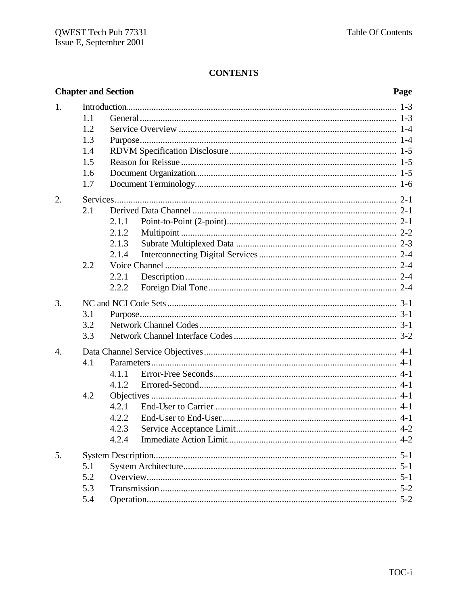# **CONTENTS**

|                  |     | <b>Chapter and Section</b> | Page |
|------------------|-----|----------------------------|------|
| 1.               |     |                            |      |
|                  | 1.1 |                            |      |
|                  | 1.2 |                            |      |
|                  | 1.3 |                            |      |
|                  | 1.4 |                            |      |
|                  | 1.5 |                            |      |
|                  | 1.6 |                            |      |
|                  | 1.7 |                            |      |
| 2.               |     |                            |      |
|                  | 2.1 |                            |      |
|                  |     | 2.1.1                      |      |
|                  |     | 2.1.2                      |      |
|                  |     | 2.1.3                      |      |
|                  |     | 2.1.4                      |      |
|                  | 2.2 |                            |      |
|                  |     | 2.2.1                      |      |
|                  |     | 2.2.2                      |      |
| 3.               |     |                            |      |
|                  | 3.1 |                            |      |
|                  | 3.2 |                            |      |
|                  | 3.3 |                            |      |
| $\overline{4}$ . |     |                            |      |
|                  | 4.1 |                            |      |
|                  |     | 4.1.1                      |      |
|                  |     | 4.1.2                      |      |
|                  | 4.2 |                            |      |
|                  |     | 4.2.1                      |      |
|                  |     | 4.2.2                      |      |
|                  |     | 4.2.3                      |      |
|                  |     | 4.2.4                      |      |
| 5.               |     |                            |      |
|                  | 5.1 |                            |      |
|                  | 5.2 |                            |      |
|                  | 5.3 |                            |      |
|                  | 5.4 |                            |      |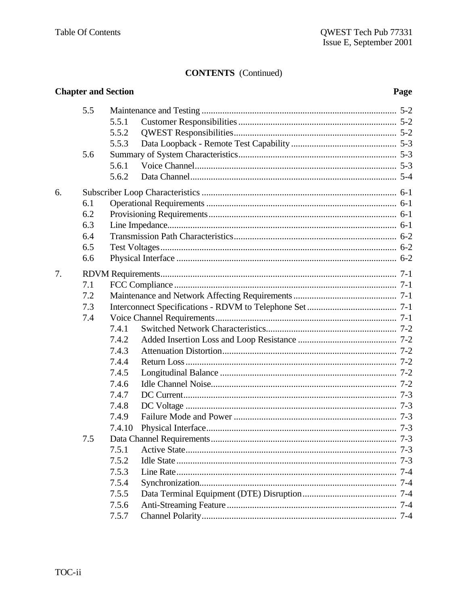# **CONTENTS** (Continued)

|    |     | <b>Chapter and Section</b> | Page |
|----|-----|----------------------------|------|
|    | 5.5 |                            |      |
|    |     | 5.5.1                      |      |
|    |     | 5.5.2                      |      |
|    |     | 5.5.3                      |      |
|    | 5.6 |                            |      |
|    |     | 5.6.1                      |      |
|    |     | 5.6.2                      |      |
| 6. |     |                            |      |
|    | 6.1 |                            |      |
|    | 6.2 |                            |      |
|    | 6.3 |                            |      |
|    | 6.4 |                            |      |
|    | 6.5 |                            |      |
|    | 6.6 |                            |      |
| 7. |     |                            |      |
|    | 7.1 |                            |      |
|    | 7.2 |                            |      |
|    | 7.3 |                            |      |
|    | 7.4 |                            |      |
|    |     | 7.4.1                      |      |
|    |     | 7.4.2                      |      |
|    |     | 7.4.3                      |      |
|    |     | 7.4.4                      |      |
|    |     | 7.4.5                      |      |
|    |     | 7.4.6                      |      |
|    |     | 7.4.7                      |      |
|    |     | 7.4.8                      |      |
|    |     | 7.4.9                      |      |
|    |     | 7.4.10                     |      |
|    | 7.5 |                            |      |
|    |     | 7.5.1                      |      |
|    |     | 7.5.2                      |      |
|    |     | 7.5.3                      |      |
|    |     | 7.5.4                      |      |
|    |     | 7.5.5                      |      |
|    |     | 7.5.6                      |      |
|    |     | 7.5.7                      |      |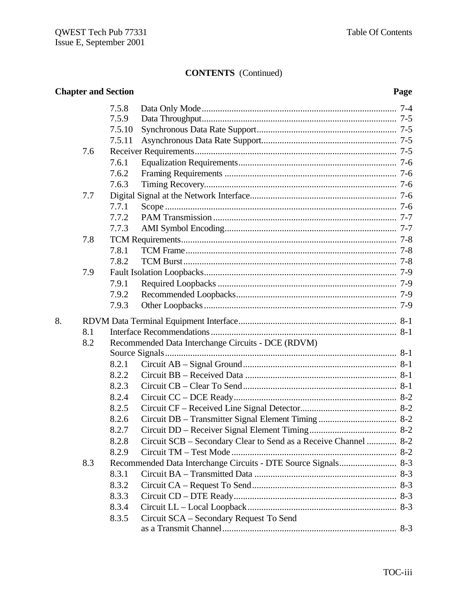# **CONTENTS** (Continued)

|    |     | <b>Chapter and Section</b> |                                                                 | Page |  |
|----|-----|----------------------------|-----------------------------------------------------------------|------|--|
|    |     | 7.5.8                      |                                                                 |      |  |
|    |     | 7.5.9                      |                                                                 |      |  |
|    |     | 7.5.10                     |                                                                 |      |  |
|    |     | 7.5.11                     |                                                                 |      |  |
|    | 7.6 |                            |                                                                 |      |  |
|    |     | 7.6.1                      |                                                                 |      |  |
|    |     | 7.6.2                      |                                                                 |      |  |
|    |     | 7.6.3                      |                                                                 |      |  |
|    | 7.7 |                            |                                                                 |      |  |
|    |     | 7.7.1                      |                                                                 |      |  |
|    |     | 7.7.2                      |                                                                 |      |  |
|    |     | 7.7.3                      |                                                                 |      |  |
|    | 7.8 |                            |                                                                 |      |  |
|    |     | 7.8.1                      |                                                                 |      |  |
|    |     | 7.8.2                      |                                                                 |      |  |
|    | 7.9 |                            |                                                                 |      |  |
|    |     | 7.9.1                      |                                                                 |      |  |
|    |     | 7.9.2                      |                                                                 |      |  |
|    |     | 7.9.3                      |                                                                 |      |  |
| 8. |     |                            |                                                                 |      |  |
|    | 8.1 |                            |                                                                 |      |  |
|    | 8.2 |                            | Recommended Data Interchange Circuits - DCE (RDVM)              |      |  |
|    |     |                            |                                                                 |      |  |
|    |     | 8.2.1                      |                                                                 |      |  |
|    |     | 8.2.2                      |                                                                 |      |  |
|    |     | 8.2.3                      |                                                                 |      |  |
|    |     | 8.2.4                      |                                                                 |      |  |
|    |     | 8.2.5                      |                                                                 |      |  |
|    |     | 8.2.6                      |                                                                 |      |  |
|    |     | 8.2.7                      |                                                                 |      |  |
|    |     | 8.2.8                      | Circuit SCB – Secondary Clear to Send as a Receive Channel  8-2 |      |  |
|    |     | 8.2.9                      |                                                                 |      |  |
|    | 8.3 |                            |                                                                 |      |  |
|    |     | 8.3.1                      |                                                                 |      |  |
|    |     | 8.3.2                      |                                                                 |      |  |
|    |     | 8.3.3                      |                                                                 |      |  |
|    |     | 8.3.4                      |                                                                 |      |  |
|    |     | 8.3.5                      | Circuit SCA - Secondary Request To Send                         |      |  |
|    |     |                            |                                                                 |      |  |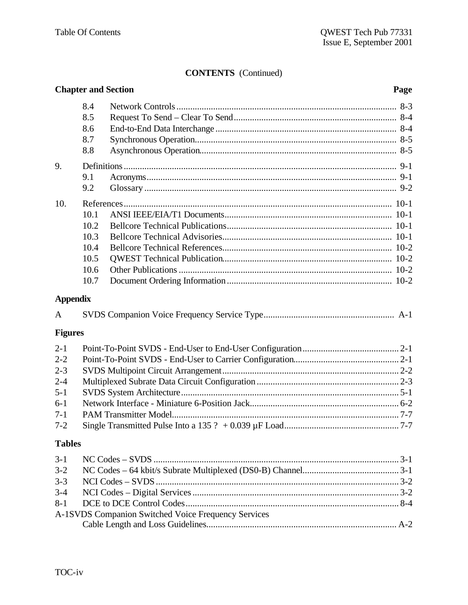# **CONTENTS** (Continued)

|                 |      | <b>Chapter and Section</b>                          | Page |
|-----------------|------|-----------------------------------------------------|------|
|                 | 8.4  |                                                     |      |
|                 | 8.5  |                                                     |      |
|                 | 8.6  |                                                     |      |
|                 | 8.7  |                                                     |      |
|                 | 8.8  |                                                     |      |
| 9.              |      |                                                     |      |
|                 | 9.1  |                                                     |      |
|                 | 9.2  |                                                     |      |
| 10.             |      |                                                     |      |
|                 | 10.1 |                                                     |      |
|                 | 10.2 |                                                     |      |
|                 | 10.3 |                                                     |      |
|                 | 10.4 |                                                     |      |
|                 | 10.5 |                                                     |      |
|                 | 10.6 |                                                     |      |
|                 | 10.7 |                                                     |      |
| <b>Appendix</b> |      |                                                     |      |
| A               |      |                                                     |      |
| <b>Figures</b>  |      |                                                     |      |
| $2 - 1$         |      |                                                     |      |
| $2 - 2$         |      |                                                     |      |
| $2 - 3$         |      |                                                     |      |
| $2 - 4$         |      |                                                     |      |
| $5 - 1$         |      |                                                     |      |
| $6 - 1$         |      |                                                     |      |
| $7-1$           |      |                                                     |      |
| $7 - 2$         |      |                                                     |      |
| <b>Tables</b>   |      |                                                     |      |
| $3 - 1$         |      |                                                     |      |
| $3 - 2$         |      |                                                     |      |
| $3 - 3$         |      |                                                     |      |
| $3 - 4$         |      |                                                     |      |
| $8 - 1$         |      |                                                     |      |
|                 |      | A-1SVDS Companion Switched Voice Frequency Services |      |
|                 |      |                                                     |      |
|                 |      |                                                     |      |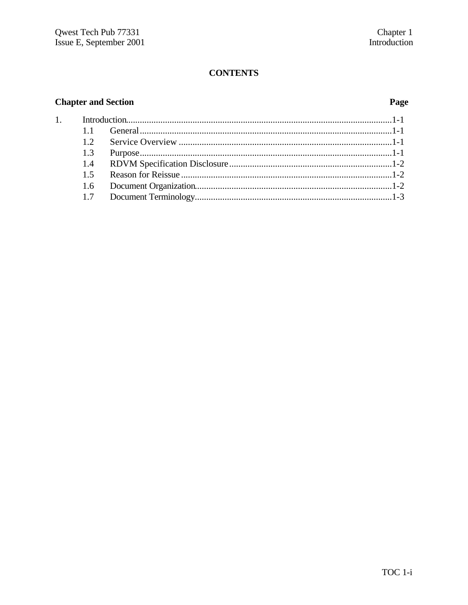# **CONTENTS**

# **Chapter and Section**

 $\overline{1}$ .

# Page

| 11  |  |
|-----|--|
| 12  |  |
|     |  |
| 1.4 |  |
| 15  |  |
|     |  |
|     |  |
|     |  |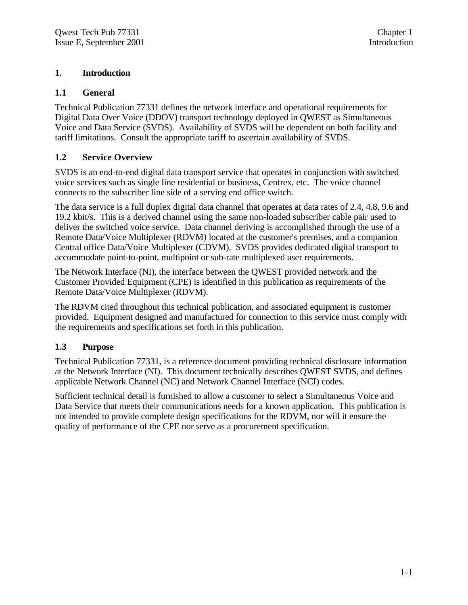# **1. Introduction**

# **1.1 General**

Technical Publication 77331 defines the network interface and operational requirements for Digital Data Over Voice (DDOV) transport technology deployed in QWEST as Simultaneous Voice and Data Service (SVDS). Availability of SVDS will be dependent on both facility and tariff limitations. Consult the appropriate tariff to ascertain availability of SVDS.

# **1.2 Service Overview**

SVDS is an end-to-end digital data transport service that operates in conjunction with switched voice services such as single line residential or business, Centrex, etc. The voice channel connects to the subscriber line side of a serving end office switch.

The data service is a full duplex digital data channel that operates at data rates of 2.4, 4.8, 9.6 and 19.2 kbit/s. This is a derived channel using the same non-loaded subscriber cable pair used to deliver the switched voice service. Data channel deriving is accomplished through the use of a Remote Data/Voice Multiplexer (RDVM) located at the customer's premises, and a companion Central office Data/Voice Multiplexer (CDVM). SVDS provides dedicated digital transport to accommodate point-to-point, multipoint or sub-rate multiplexed user requirements.

The Network Interface (NI), the interface between the QWEST provided network and the Customer Provided Equipment (CPE) is identified in this publication as requirements of the Remote Data/Voice Multiplexer (RDVM).

The RDVM cited throughout this technical publication, and associated equipment is customer provided. Equipment designed and manufactured for connection to this service must comply with the requirements and specifications set forth in this publication.

# **1.3 Purpose**

Technical Publication 77331, is a reference document providing technical disclosure information at the Network Interface (NI). This document technically describes QWEST SVDS, and defines applicable Network Channel (NC) and Network Channel Interface (NCI) codes.

Sufficient technical detail is furnished to allow a customer to select a Simultaneous Voice and Data Service that meets their communications needs for a known application. This publication is not intended to provide complete design specifications for the RDVM, nor will it ensure the quality of performance of the CPE nor serve as a procurement specification.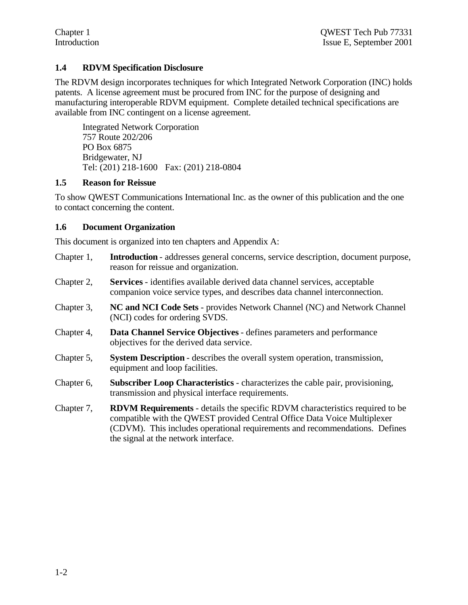# **1.4 RDVM Specification Disclosure**

The RDVM design incorporates techniques for which Integrated Network Corporation (INC) holds patents. A license agreement must be procured from INC for the purpose of designing and manufacturing interoperable RDVM equipment. Complete detailed technical specifications are available from INC contingent on a license agreement.

Integrated Network Corporation 757 Route 202/206 PO Box 6875 Bridgewater, NJ Tel: (201) 218-1600 Fax: (201) 218-0804

### **1.5 Reason for Reissue**

To show QWEST Communications International Inc. as the owner of this publication and the one to contact concerning the content.

# **1.6 Document Organization**

This document is organized into ten chapters and Appendix A:

- Chapter 1, **Introduction** addresses general concerns, service description, document purpose, reason for reissue and organization.
- Chapter 2, **Services** identifies available derived data channel services, acceptable companion voice service types, and describes data channel interconnection.
- Chapter 3, **NC and NCI Code Sets** provides Network Channel (NC) and Network Channel (NCI) codes for ordering SVDS.
- Chapter 4, **Data Channel Service Objectives** defines parameters and performance objectives for the derived data service.
- Chapter 5, **System Description** describes the overall system operation, transmission, equipment and loop facilities.
- Chapter 6, **Subscriber Loop Characteristics** characterizes the cable pair, provisioning, transmission and physical interface requirements.
- Chapter 7, **RDVM Requirements** details the specific RDVM characteristics required to be compatible with the QWEST provided Central Office Data Voice Multiplexer (CDVM). This includes operational requirements and recommendations. Defines the signal at the network interface.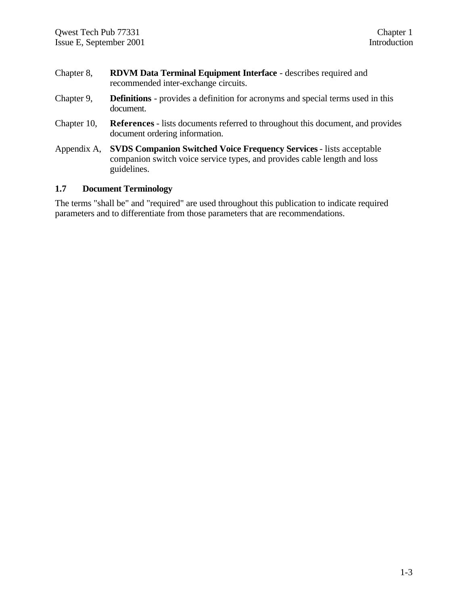- Chapter 8, **RDVM Data Terminal Equipment Interface** describes required and recommended inter-exchange circuits.
- Chapter 9, **Definitions** provides a definition for acronyms and special terms used in this document.
- Chapter 10, **References** lists documents referred to throughout this document, and provides document ordering information.
- Appendix A, **SVDS Companion Switched Voice Frequency Services** lists acceptable companion switch voice service types, and provides cable length and loss guidelines.

### **1.7 Document Terminology**

The terms "shall be" and "required" are used throughout this publication to indicate required parameters and to differentiate from those parameters that are recommendations.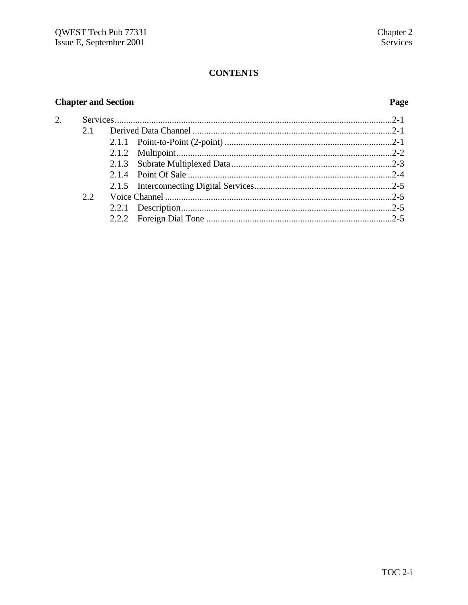# **CONTENTS**

# **Chapter and Section**

# Page

| 2. |     |  |  |
|----|-----|--|--|
|    | 2.1 |  |  |
|    |     |  |  |
|    |     |  |  |
|    |     |  |  |
|    |     |  |  |
|    |     |  |  |
| 22 |     |  |  |
|    |     |  |  |
|    |     |  |  |
|    |     |  |  |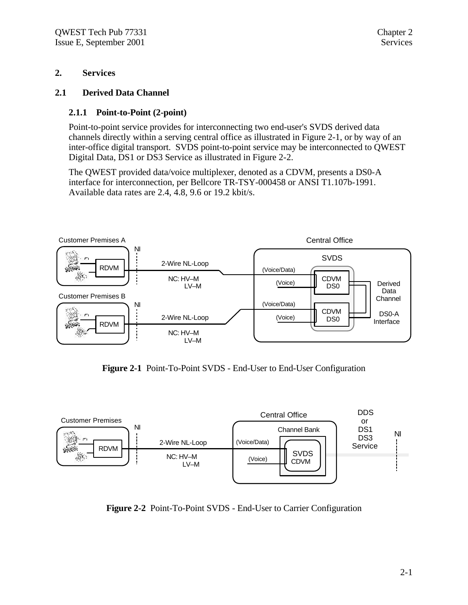### **2. Services**

### **2.1 Derived Data Channel**

### **2.1.1 Point-to-Point (2-point)**

Point-to-point service provides for interconnecting two end-user's SVDS derived data channels directly within a serving central office as illustrated in Figure 2-1, or by way of an inter-office digital transport. SVDS point-to-point service may be interconnected to QWEST Digital Data, DS1 or DS3 Service as illustrated in Figure 2-2.

The QWEST provided data/voice multiplexer, denoted as a CDVM, presents a DS0-A interface for interconnection, per Bellcore TR-TSY-000458 or ANSI T1.107b-1991. Available data rates are 2.4, 4.8, 9.6 or 19.2 kbit/s.



**Figure 2-1** Point-To-Point SVDS - End-User to End-User Configuration



**Figure 2-2** Point-To-Point SVDS - End-User to Carrier Configuration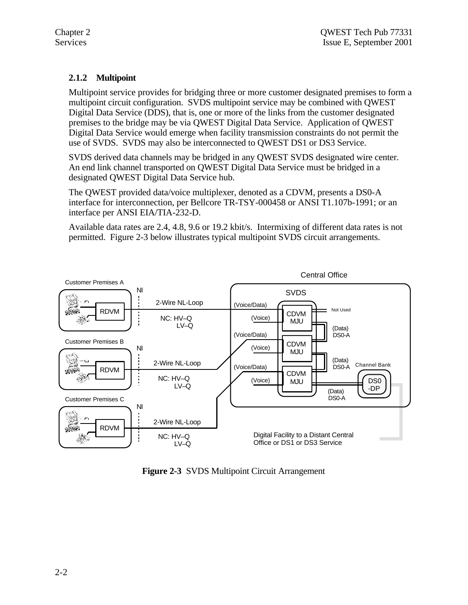# **2.1.2 Multipoint**

Multipoint service provides for bridging three or more customer designated premises to form a multipoint circuit configuration. SVDS multipoint service may be combined with QWEST Digital Data Service (DDS), that is, one or more of the links from the customer designated premises to the bridge may be via QWEST Digital Data Service. Application of QWEST Digital Data Service would emerge when facility transmission constraints do not permit the use of SVDS. SVDS may also be interconnected to QWEST DS1 or DS3 Service.

SVDS derived data channels may be bridged in any QWEST SVDS designated wire center. An end link channel transported on QWEST Digital Data Service must be bridged in a designated QWEST Digital Data Service hub.

The QWEST provided data/voice multiplexer, denoted as a CDVM, presents a DS0-A interface for interconnection, per Bellcore TR-TSY-000458 or ANSI T1.107b-1991; or an interface per ANSI EIA/TIA-232-D.

Available data rates are 2.4, 4.8, 9.6 or 19.2 kbit/s. Intermixing of different data rates is not permitted. Figure 2-3 below illustrates typical multipoint SVDS circuit arrangements.



**Figure 2-3** SVDS Multipoint Circuit Arrangement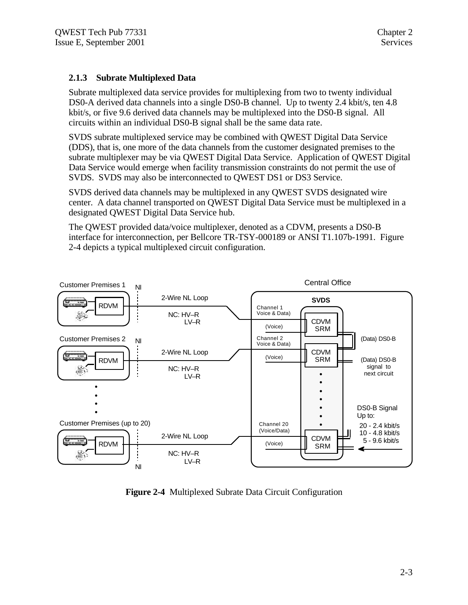# **2.1.3 Subrate Multiplexed Data**

Subrate multiplexed data service provides for multiplexing from two to twenty individual DS0-A derived data channels into a single DS0-B channel. Up to twenty 2.4 kbit/s, ten 4.8 kbit/s, or five 9.6 derived data channels may be multiplexed into the DS0-B signal. All circuits within an individual DS0-B signal shall be the same data rate.

SVDS subrate multiplexed service may be combined with QWEST Digital Data Service (DDS), that is, one more of the data channels from the customer designated premises to the subrate multiplexer may be via QWEST Digital Data Service. Application of QWEST Digital Data Service would emerge when facility transmission constraints do not permit the use of SVDS. SVDS may also be interconnected to QWEST DS1 or DS3 Service.

SVDS derived data channels may be multiplexed in any QWEST SVDS designated wire center. A data channel transported on QWEST Digital Data Service must be multiplexed in a designated QWEST Digital Data Service hub.

The QWEST provided data/voice multiplexer, denoted as a CDVM, presents a DS0-B interface for interconnection, per Bellcore TR-TSY-000189 or ANSI T1.107b-1991. Figure 2-4 depicts a typical multiplexed circuit configuration.



**Figure 2-4** Multiplexed Subrate Data Circuit Configuration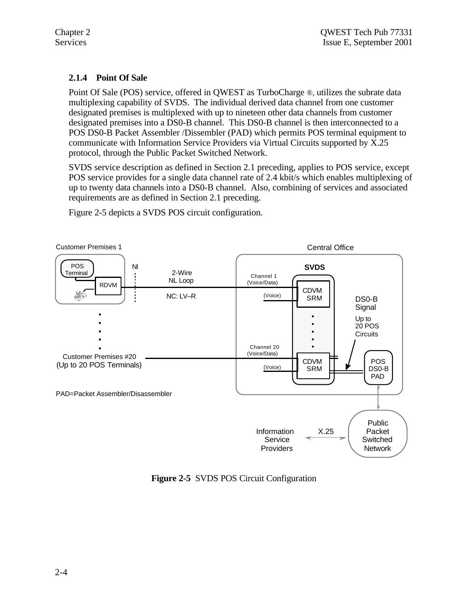# **2.1.4 Point Of Sale**

Point Of Sale (POS) service, offered in QWEST as TurboCharge ®, utilizes the subrate data multiplexing capability of SVDS. The individual derived data channel from one customer designated premises is multiplexed with up to nineteen other data channels from customer designated premises into a DS0-B channel. This DS0-B channel is then interconnected to a POS DS0-B Packet Assembler /Dissembler (PAD) which permits POS terminal equipment to communicate with Information Service Providers via Virtual Circuits supported by X.25 protocol, through the Public Packet Switched Network.

SVDS service description as defined in Section 2.1 preceding, applies to POS service, except POS service provides for a single data channel rate of 2.4 kbit/s which enables multiplexing of up to twenty data channels into a DS0-B channel. Also, combining of services and associated requirements are as defined in Section 2.1 preceding.



Figure 2-5 depicts a SVDS POS circuit configuration.

**Figure 2-5** SVDS POS Circuit Configuration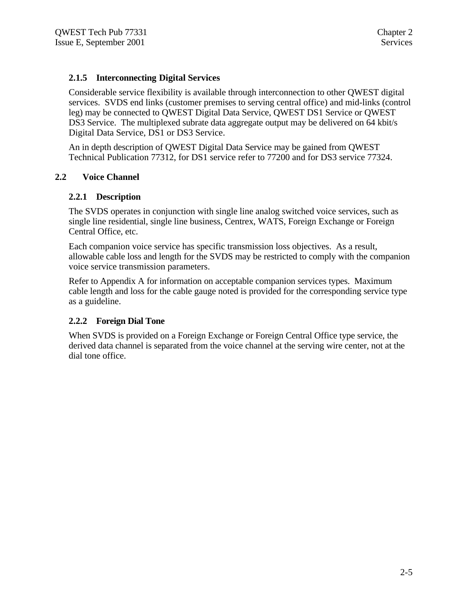# **2.1.5 Interconnecting Digital Services**

Considerable service flexibility is available through interconnection to other QWEST digital services. SVDS end links (customer premises to serving central office) and mid-links (control leg) may be connected to QWEST Digital Data Service, QWEST DS1 Service or QWEST DS3 Service. The multiplexed subrate data aggregate output may be delivered on 64 kbit/s Digital Data Service, DS1 or DS3 Service.

An in depth description of QWEST Digital Data Service may be gained from QWEST Technical Publication 77312, for DS1 service refer to 77200 and for DS3 service 77324.

### **2.2 Voice Channel**

### **2.2.1 Description**

The SVDS operates in conjunction with single line analog switched voice services, such as single line residential, single line business, Centrex, WATS, Foreign Exchange or Foreign Central Office, etc.

Each companion voice service has specific transmission loss objectives. As a result, allowable cable loss and length for the SVDS may be restricted to comply with the companion voice service transmission parameters.

Refer to Appendix A for information on acceptable companion services types. Maximum cable length and loss for the cable gauge noted is provided for the corresponding service type as a guideline.

### **2.2.2 Foreign Dial Tone**

When SVDS is provided on a Foreign Exchange or Foreign Central Office type service, the derived data channel is separated from the voice channel at the serving wire center, not at the dial tone office.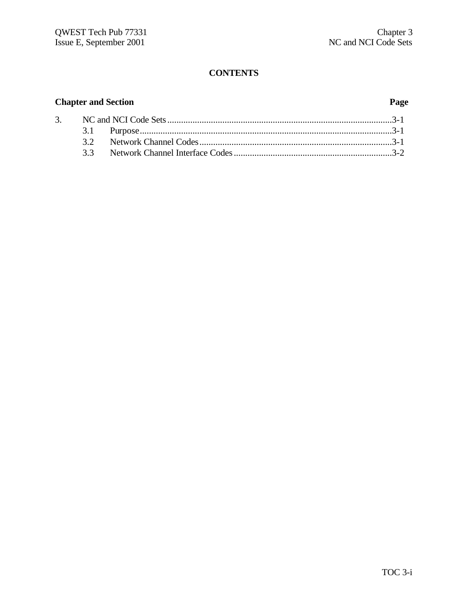# **CONTENTS**

# **Chapter and Section Page**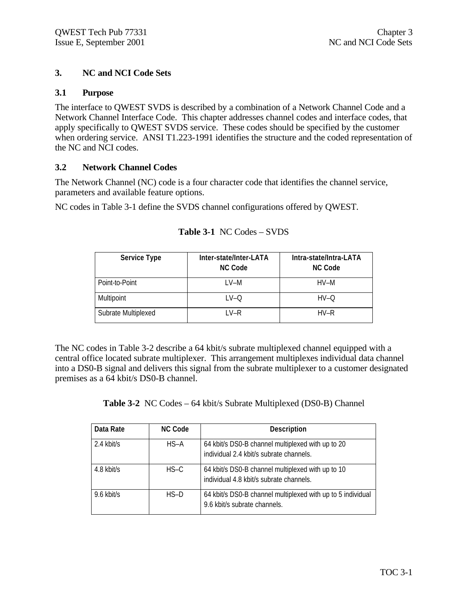### **3. NC and NCI Code Sets**

### **3.1 Purpose**

The interface to QWEST SVDS is described by a combination of a Network Channel Code and a Network Channel Interface Code. This chapter addresses channel codes and interface codes, that apply specifically to QWEST SVDS service. These codes should be specified by the customer when ordering service. ANSI T1.223-1991 identifies the structure and the coded representation of the NC and NCI codes.

### **3.2 Network Channel Codes**

The Network Channel (NC) code is a four character code that identifies the channel service, parameters and available feature options.

NC codes in Table 3-1 define the SVDS channel configurations offered by QWEST.

| <b>Service Type</b> | Inter-state/Inter-LATA<br><b>NC Code</b> | Intra-state/Intra-LATA<br><b>NC Code</b> |
|---------------------|------------------------------------------|------------------------------------------|
| Point-to-Point      | I V-M                                    | $HV-M$                                   |
| Multipoint          | $LV$ -O                                  | $HV-O$                                   |
| Subrate Multiplexed | $IV-R$                                   | $HV-R$                                   |

# **Table 3-1** NC Codes – SVDS

The NC codes in Table 3-2 describe a 64 kbit/s subrate multiplexed channel equipped with a central office located subrate multiplexer. This arrangement multiplexes individual data channel into a DS0-B signal and delivers this signal from the subrate multiplexer to a customer designated premises as a 64 kbit/s DS0-B channel.

**Table 3-2** NC Codes – 64 kbit/s Subrate Multiplexed (DS0-B) Channel

| Data Rate  | <b>NC Code</b> | <b>Description</b>                                                                           |
|------------|----------------|----------------------------------------------------------------------------------------------|
| 2.4 kbit/s | $HS-A$         | 64 kbit/s DS0-B channel multiplexed with up to 20<br>individual 2.4 kbit/s subrate channels. |
| 4.8 kbit/s | $HS-C$         | 64 kbit/s DS0-B channel multiplexed with up to 10<br>individual 4.8 kbit/s subrate channels. |
| 9.6 kbit/s | $HS-D$         | 64 kbit/s DS0-B channel multiplexed with up to 5 individual<br>9.6 kbit/s subrate channels.  |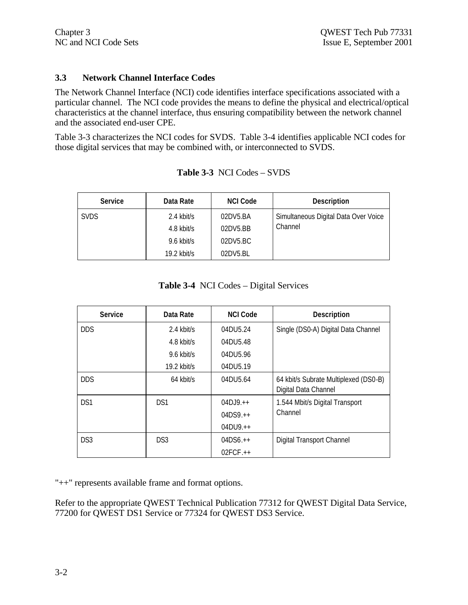### **3.3 Network Channel Interface Codes**

The Network Channel Interface (NCI) code identifies interface specifications associated with a particular channel. The NCI code provides the means to define the physical and electrical/optical characteristics at the channel interface, thus ensuring compatibility between the network channel and the associated end-user CPE.

Table 3-3 characterizes the NCI codes for SVDS. Table 3-4 identifies applicable NCI codes for those digital services that may be combined with, or interconnected to SVDS.

| <b>Service</b> | Data Rate   | <b>NCI Code</b> | <b>Description</b>                   |
|----------------|-------------|-----------------|--------------------------------------|
| <b>SVDS</b>    | 2.4 kbit/s  | 02DV5.BA        | Simultaneous Digital Data Over Voice |
|                | 4.8 kbit/s  | 02DY5.BB        | Channel                              |
|                | 9.6 kbit/s  | 02DV5.BC        |                                      |
|                | 19.2 kbit/s | 02DY5.BL        |                                      |

**Table 3-3** NCI Codes – SVDS

**Table 3-4** NCI Codes – Digital Services

| <b>Service</b>  | Data Rate       | <b>NCI Code</b> | <b>Description</b>                                            |
|-----------------|-----------------|-----------------|---------------------------------------------------------------|
| <b>DDS</b>      | $2.4$ kbit/s    | 04DU5.24        | Single (DS0-A) Digital Data Channel                           |
|                 | $4.8$ kbit/s    | 04DU5.48        |                                                               |
|                 | $9.6$ kbit/s    | 04DU5.96        |                                                               |
|                 | $19.2$ kbit/s   | 04DU5.19        |                                                               |
| <b>DDS</b>      | 64 kbit/s       | 04DU5.64        | 64 kbit/s Subrate Multiplexed (DS0-B)<br>Digital Data Channel |
| DS1             | DS1             | $04D$ . $9.++$  | 1.544 Mbit/s Digital Transport                                |
|                 |                 | $04DS9_{++}$    | Channel                                                       |
|                 |                 | $04DU9.+$       |                                                               |
| DS <sub>3</sub> | DS <sub>3</sub> | $04DS6.++$      | <b>Digital Transport Channel</b>                              |
|                 |                 | $02FCF.++$      |                                                               |

"++" represents available frame and format options.

Refer to the appropriate QWEST Technical Publication 77312 for QWEST Digital Data Service, 77200 for QWEST DS1 Service or 77324 for QWEST DS3 Service.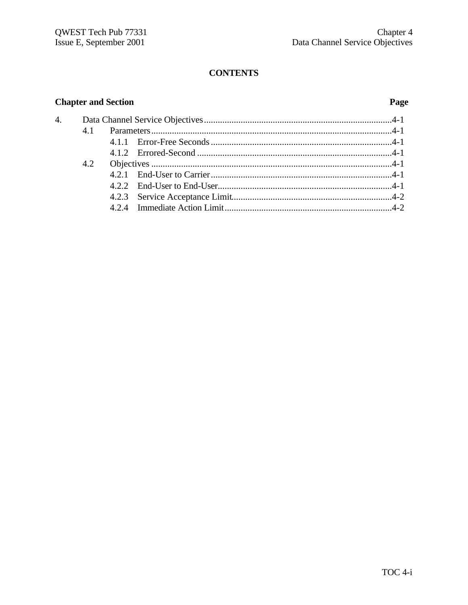# **CONTENTS**

# **Chapter and Section**

# Page

| 4. |     |  |  |
|----|-----|--|--|
|    | 4.1 |  |  |
|    |     |  |  |
|    |     |  |  |
|    | 4.2 |  |  |
|    |     |  |  |
|    |     |  |  |
|    |     |  |  |
|    |     |  |  |
|    |     |  |  |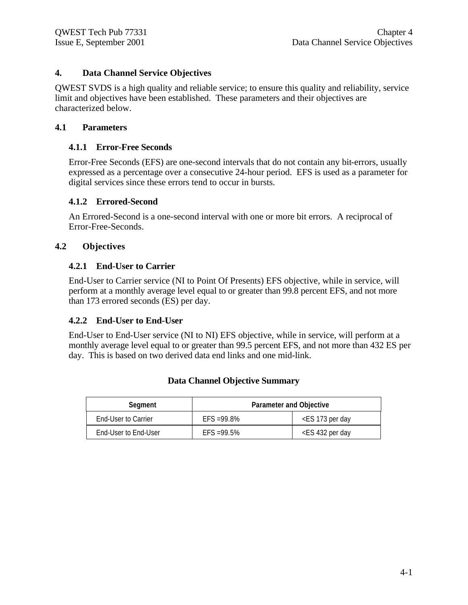# **4. Data Channel Service Objectives**

QWEST SVDS is a high quality and reliable service; to ensure this quality and reliability, service limit and objectives have been established. These parameters and their objectives are characterized below.

### **4.1 Parameters**

### **4.1.1 Error-Free Seconds**

Error-Free Seconds (EFS) are one-second intervals that do not contain any bit-errors, usually expressed as a percentage over a consecutive 24-hour period. EFS is used as a parameter for digital services since these errors tend to occur in bursts.

### **4.1.2 Errored-Second**

An Errored-Second is a one-second interval with one or more bit errors. A reciprocal of Error-Free-Seconds.

# **4.2 Objectives**

# **4.2.1 End-User to Carrier**

End-User to Carrier service (NI to Point Of Presents) EFS objective, while in service, will perform at a monthly average level equal to or greater than 99.8 percent EFS, and not more than 173 errored seconds (ES) per day.

# **4.2.2 End-User to End-User**

End-User to End-User service (NI to NI) EFS objective, while in service, will perform at a monthly average level equal to or greater than 99.5 percent EFS, and not more than 432 ES per day. This is based on two derived data end links and one mid-link.

| Segment              | <b>Parameter and Objective</b> |                                       |  |
|----------------------|--------------------------------|---------------------------------------|--|
| End-User to Carrier  | $FFS = 99.8%$                  | <es 173="" day<="" per="" td=""></es> |  |
| End-User to End-User | $FFS = 99.5%$                  | <es 432="" day<="" per="" td=""></es> |  |

# **Data Channel Objective Summary**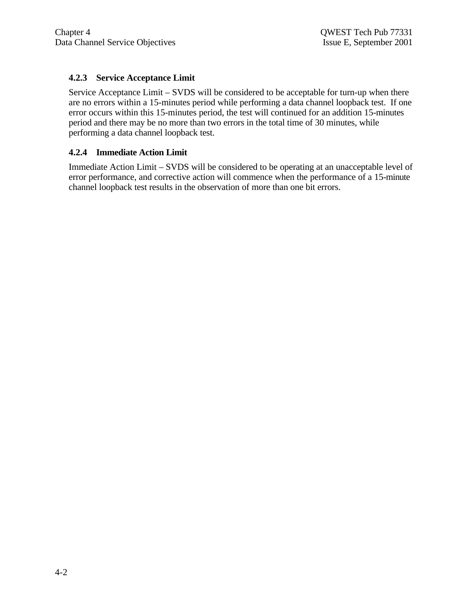# **4.2.3 Service Acceptance Limit**

Service Acceptance Limit – SVDS will be considered to be acceptable for turn-up when there are no errors within a 15-minutes period while performing a data channel loopback test. If one error occurs within this 15-minutes period, the test will continued for an addition 15-minutes period and there may be no more than two errors in the total time of 30 minutes, while performing a data channel loopback test.

### **4.2.4 Immediate Action Limit**

Immediate Action Limit – SVDS will be considered to be operating at an unacceptable level of error performance, and corrective action will commence when the performance of a 15-minute channel loopback test results in the observation of more than one bit errors.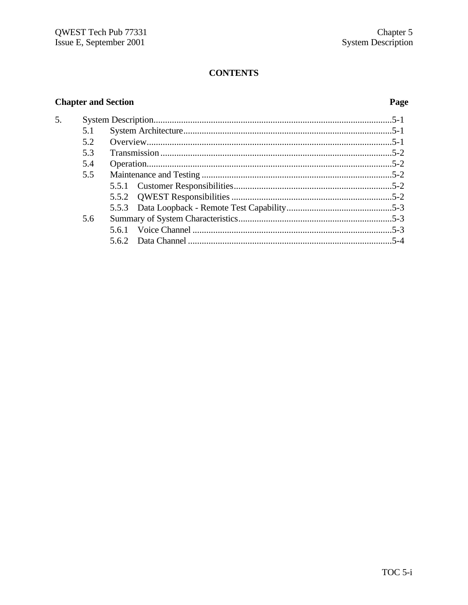# **CONTENTS**

# **Chapter and Section**

5.

# Page

| 5.1 |  |
|-----|--|
| 5.2 |  |
| 5.3 |  |
| 5.4 |  |
| 5.5 |  |
|     |  |
|     |  |
|     |  |
| 5.6 |  |
|     |  |
|     |  |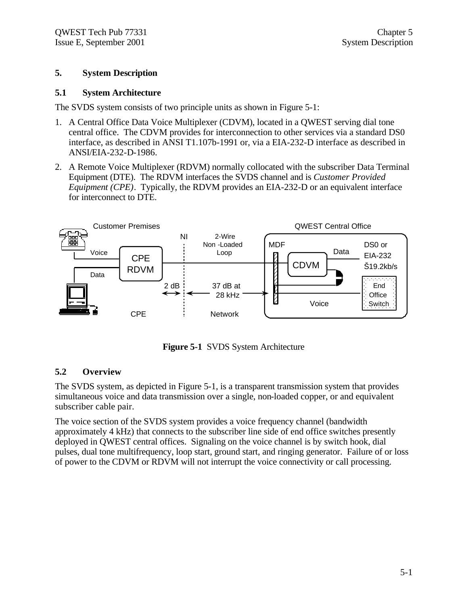### **5. System Description**

### **5.1 System Architecture**

The SVDS system consists of two principle units as shown in Figure 5-1:

- 1. A Central Office Data Voice Multiplexer (CDVM), located in a QWEST serving dial tone central office. The CDVM provides for interconnection to other services via a standard DS0 interface, as described in ANSI T1.107b-1991 or, via a EIA-232-D interface as described in ANSI/EIA-232-D-1986.
- 2. A Remote Voice Multiplexer (RDVM) normally collocated with the subscriber Data Terminal Equipment (DTE). The RDVM interfaces the SVDS channel and is *Customer Provided Equipment (CPE)*. Typically, the RDVM provides an EIA-232-D or an equivalent interface for interconnect to DTE.



**Figure 5-1** SVDS System Architecture

# **5.2 Overview**

The SVDS system, as depicted in Figure 5-1, is a transparent transmission system that provides simultaneous voice and data transmission over a single, non-loaded copper, or and equivalent subscriber cable pair.

The voice section of the SVDS system provides a voice frequency channel (bandwidth approximately 4 kHz) that connects to the subscriber line side of end office switches presently deployed in QWEST central offices. Signaling on the voice channel is by switch hook, dial pulses, dual tone multifrequency, loop start, ground start, and ringing generator. Failure of or loss of power to the CDVM or RDVM will not interrupt the voice connectivity or call processing.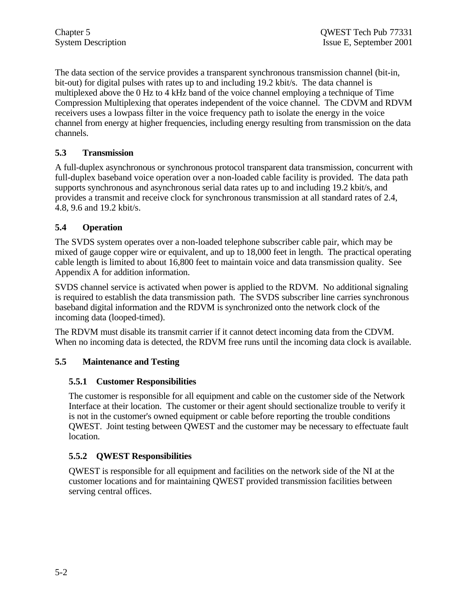The data section of the service provides a transparent synchronous transmission channel (bit-in, bit-out) for digital pulses with rates up to and including 19.2 kbit/s. The data channel is multiplexed above the 0 Hz to 4 kHz band of the voice channel employing a technique of Time Compression Multiplexing that operates independent of the voice channel. The CDVM and RDVM receivers uses a lowpass filter in the voice frequency path to isolate the energy in the voice channel from energy at higher frequencies, including energy resulting from transmission on the data channels.

# **5.3 Transmission**

A full-duplex asynchronous or synchronous protocol transparent data transmission, concurrent with full-duplex baseband voice operation over a non-loaded cable facility is provided. The data path supports synchronous and asynchronous serial data rates up to and including 19.2 kbit/s, and provides a transmit and receive clock for synchronous transmission at all standard rates of 2.4, 4.8, 9.6 and 19.2 kbit/s.

# **5.4 Operation**

The SVDS system operates over a non-loaded telephone subscriber cable pair, which may be mixed of gauge copper wire or equivalent, and up to 18,000 feet in length. The practical operating cable length is limited to about 16,800 feet to maintain voice and data transmission quality. See Appendix A for addition information.

SVDS channel service is activated when power is applied to the RDVM. No additional signaling is required to establish the data transmission path. The SVDS subscriber line carries synchronous baseband digital information and the RDVM is synchronized onto the network clock of the incoming data (looped-timed).

The RDVM must disable its transmit carrier if it cannot detect incoming data from the CDVM. When no incoming data is detected, the RDVM free runs until the incoming data clock is available.

# **5.5 Maintenance and Testing**

# **5.5.1 Customer Responsibilities**

The customer is responsible for all equipment and cable on the customer side of the Network Interface at their location. The customer or their agent should sectionalize trouble to verify it is not in the customer's owned equipment or cable before reporting the trouble conditions QWEST. Joint testing between QWEST and the customer may be necessary to effectuate fault location.

# **5.5.2 QWEST Responsibilities**

QWEST is responsible for all equipment and facilities on the network side of the NI at the customer locations and for maintaining QWEST provided transmission facilities between serving central offices.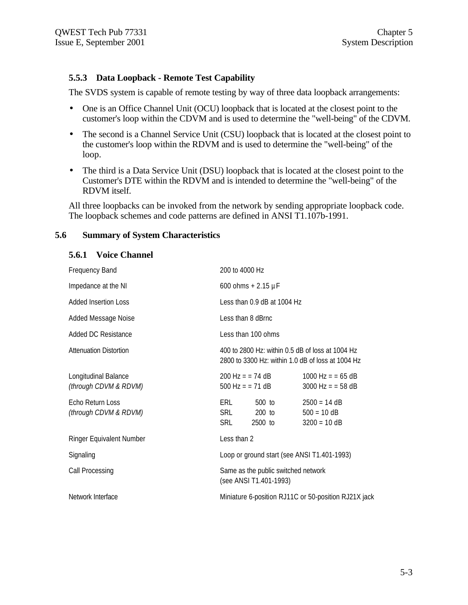### **5.5.3 Data Loopback - Remote Test Capability**

The SVDS system is capable of remote testing by way of three data loopback arrangements:

- One is an Office Channel Unit (OCU) loopback that is located at the closest point to the customer's loop within the CDVM and is used to determine the "well-being" of the CDVM.
- The second is a Channel Service Unit (CSU) loopback that is located at the closest point to the customer's loop within the RDVM and is used to determine the "well-being" of the loop.
- The third is a Data Service Unit (DSU) loopback that is located at the closest point to the Customer's DTE within the RDVM and is intended to determine the "well-being" of the RDVM itself.

All three loopbacks can be invoked from the network by sending appropriate loopback code. The loopback schemes and code patterns are defined in ANSI T1.107b-1991.

### **5.6 Summary of System Characteristics**

### **5.6.1 Voice Channel**

| <b>Frequency Band</b>                            | 200 to 4000 Hz                                                                                        |                                                   |
|--------------------------------------------------|-------------------------------------------------------------------------------------------------------|---------------------------------------------------|
| Impedance at the NI                              | 600 ohms + $2.15 \mu F$                                                                               |                                                   |
| <b>Added Insertion Loss</b>                      | Less than 0.9 dB at 1004 Hz                                                                           |                                                   |
| Added Message Noise                              | Less than 8 dBrnc                                                                                     |                                                   |
| Added DC Resistance                              | Less than 100 ohms                                                                                    |                                                   |
| <b>Attenuation Distortion</b>                    | 400 to 2800 Hz; within 0.5 dB of loss at 1004 Hz<br>2800 to 3300 Hz: within 1.0 dB of loss at 1004 Hz |                                                   |
| Longitudinal Balance<br>(through CDVM & RDVM)    | $200 \text{ Hz} = 74 \text{ dB}$<br>500 Hz = $= 71$ dB                                                | $1000$ Hz = = 65 dB<br>$3000$ Hz = = 58 dB        |
| <b>Echo Return Loss</b><br>(through CDVM & RDVM) | ERL<br>500 to<br>SRL<br>200 to<br>SRL<br>2500 to                                                      | $2500 = 14 dB$<br>$500 = 10 dB$<br>$3200 = 10 dB$ |
| Ringer Equivalent Number                         | Less than 2                                                                                           |                                                   |
| Signaling                                        | Loop or ground start (see ANSI T1.401-1993)                                                           |                                                   |
| Call Processing                                  | Same as the public switched network<br>(see ANSI T1.401-1993)                                         |                                                   |
| Network Interface                                | Miniature 6-position RJ11C or 50-position RJ21X jack                                                  |                                                   |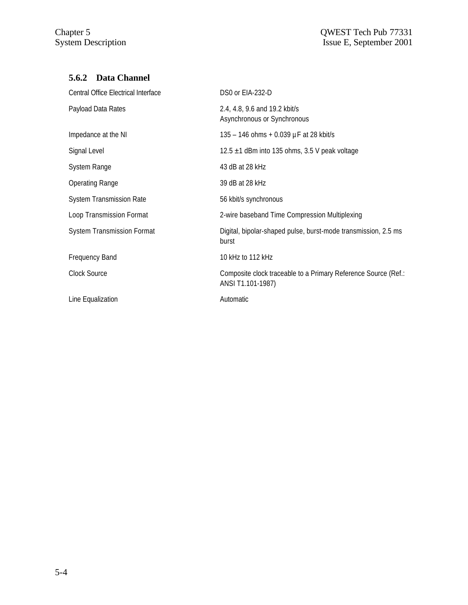# **5.6.2 Data Channel**

| Central Office Electrical Interface | DS0 or EIA-232-D                                                                    |
|-------------------------------------|-------------------------------------------------------------------------------------|
| Payload Data Rates                  | 2.4, 4.8, 9.6 and 19.2 kbit/s<br>Asynchronous or Synchronous                        |
| Impedance at the NI                 | 135 – 146 ohms + 0.039 $\mu$ F at 28 kbit/s                                         |
| Signal Level                        | 12.5 $\pm$ 1 dBm into 135 ohms, 3.5 V peak voltage                                  |
| System Range                        | 43 dB at 28 kHz                                                                     |
| <b>Operating Range</b>              | 39 dB at 28 kHz                                                                     |
| System Transmission Rate            | 56 kbit/s synchronous                                                               |
| Loop Transmission Format            | 2-wire baseband Time Compression Multiplexing                                       |
| <b>System Transmission Format</b>   | Digital, bipolar-shaped pulse, burst-mode transmission, 2.5 ms<br>burst             |
| <b>Frequency Band</b>               | 10 kHz to 112 kHz                                                                   |
| Clock Source                        | Composite clock traceable to a Primary Reference Source (Ref.:<br>ANSI T1.101-1987) |
| Line Equalization                   | Automatic                                                                           |
|                                     |                                                                                     |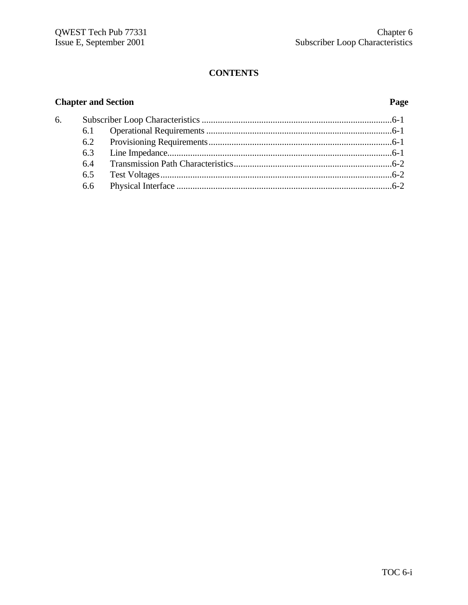# **CONTENTS**

# **Chapter and Section Page**

| 6. |  |  |
|----|--|--|
|    |  |  |
|    |  |  |
|    |  |  |
|    |  |  |
|    |  |  |
|    |  |  |
|    |  |  |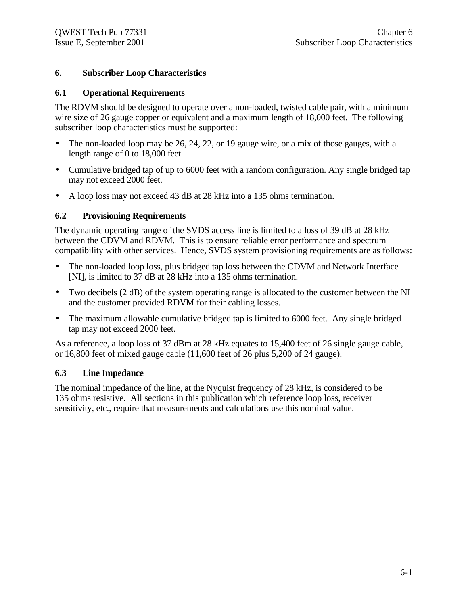# **6. Subscriber Loop Characteristics**

### **6.1 Operational Requirements**

The RDVM should be designed to operate over a non-loaded, twisted cable pair, with a minimum wire size of 26 gauge copper or equivalent and a maximum length of 18,000 feet. The following subscriber loop characteristics must be supported:

- The non-loaded loop may be 26, 24, 22, or 19 gauge wire, or a mix of those gauges, with a length range of 0 to 18,000 feet.
- Cumulative bridged tap of up to 6000 feet with a random configuration. Any single bridged tap may not exceed 2000 feet.
- A loop loss may not exceed 43 dB at 28 kHz into a 135 ohms termination.

### **6.2 Provisioning Requirements**

The dynamic operating range of the SVDS access line is limited to a loss of 39 dB at 28 kHz between the CDVM and RDVM. This is to ensure reliable error performance and spectrum compatibility with other services. Hence, SVDS system provisioning requirements are as follows:

- The non-loaded loop loss, plus bridged tap loss between the CDVM and Network Interface [NI], is limited to 37 dB at 28 kHz into a 135 ohms termination.
- Two decibels (2 dB) of the system operating range is allocated to the customer between the NI and the customer provided RDVM for their cabling losses.
- The maximum allowable cumulative bridged tap is limited to 6000 feet. Any single bridged tap may not exceed 2000 feet.

As a reference, a loop loss of 37 dBm at 28 kHz equates to 15,400 feet of 26 single gauge cable, or 16,800 feet of mixed gauge cable (11,600 feet of 26 plus 5,200 of 24 gauge).

### **6.3 Line Impedance**

The nominal impedance of the line, at the Nyquist frequency of 28 kHz, is considered to be 135 ohms resistive. All sections in this publication which reference loop loss, receiver sensitivity, etc., require that measurements and calculations use this nominal value.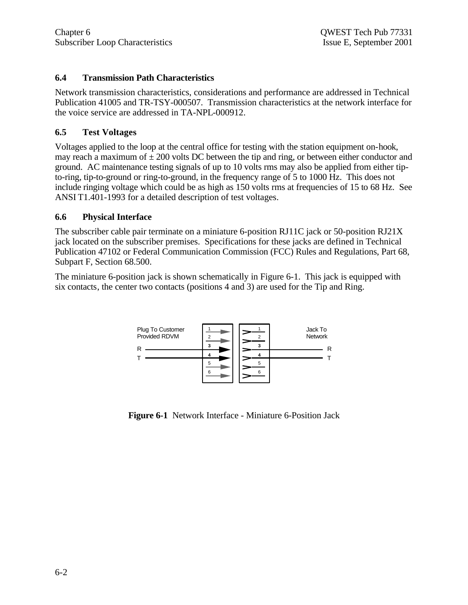# **6.4 Transmission Path Characteristics**

Network transmission characteristics, considerations and performance are addressed in Technical Publication 41005 and TR-TSY-000507. Transmission characteristics at the network interface for the voice service are addressed in TA-NPL-000912.

# **6.5 Test Voltages**

Voltages applied to the loop at the central office for testing with the station equipment on-hook, may reach a maximum of  $\pm 200$  volts DC between the tip and ring, or between either conductor and ground. AC maintenance testing signals of up to 10 volts rms may also be applied from either tipto-ring, tip-to-ground or ring-to-ground, in the frequency range of 5 to 1000 Hz. This does not include ringing voltage which could be as high as 150 volts rms at frequencies of 15 to 68 Hz. See ANSI T1.401-1993 for a detailed description of test voltages.

# **6.6 Physical Interface**

The subscriber cable pair terminate on a miniature 6-position RJ11C jack or 50-position RJ21X jack located on the subscriber premises. Specifications for these jacks are defined in Technical Publication 47102 or Federal Communication Commission (FCC) Rules and Regulations, Part 68, Subpart F, Section 68.500.

The miniature 6-position jack is shown schematically in Figure 6-1. This jack is equipped with six contacts, the center two contacts (positions 4 and 3) are used for the Tip and Ring.



**Figure 6-1** Network Interface - Miniature 6-Position Jack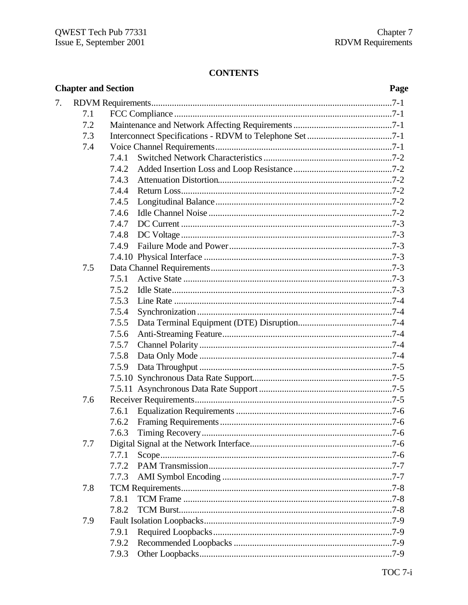# **CONTENTS**

|    | <b>Chapter and Section</b> |       | Page |
|----|----------------------------|-------|------|
| 7. |                            |       |      |
|    | 7.1                        |       |      |
|    | 7.2                        |       |      |
|    | 7.3                        |       |      |
|    | 7.4                        |       |      |
|    |                            | 7.4.1 |      |
|    |                            | 7.4.2 |      |
|    |                            | 7.4.3 |      |
|    |                            | 7.4.4 |      |
|    |                            | 7.4.5 |      |
|    |                            | 7.4.6 |      |
|    |                            | 7.4.7 |      |
|    |                            | 7.4.8 |      |
|    |                            | 7.4.9 |      |
|    |                            |       |      |
|    | 7.5                        |       |      |
|    |                            | 7.5.1 |      |
|    |                            | 7.5.2 |      |
|    |                            | 7.5.3 |      |
|    |                            | 7.5.4 |      |
|    |                            | 7.5.5 |      |
|    |                            | 7.5.6 |      |
|    |                            | 7.5.7 |      |
|    |                            | 7.5.8 |      |
|    |                            | 7.5.9 |      |
|    |                            |       |      |
|    |                            |       |      |
|    | 7.6                        |       |      |
|    |                            | 7.6.1 |      |
|    |                            |       |      |
|    |                            | 7.6.3 |      |
|    | 7.7                        |       |      |
|    |                            | 7.7.1 |      |
|    |                            | 7.7.2 |      |
|    |                            | 7.7.3 |      |
|    | 7.8                        |       |      |
|    |                            | 7.8.1 |      |
|    |                            | 7.8.2 |      |
|    | 7.9                        |       |      |
|    |                            | 7.9.1 |      |
|    |                            | 7.9.2 |      |
|    |                            | 7.9.3 |      |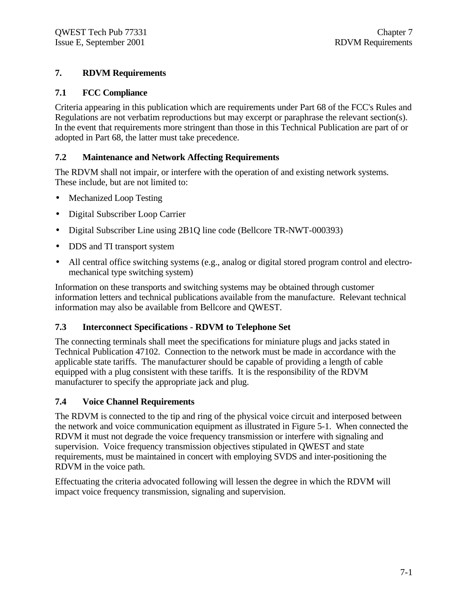# **7. RDVM Requirements**

# **7.1 FCC Compliance**

Criteria appearing in this publication which are requirements under Part 68 of the FCC's Rules and Regulations are not verbatim reproductions but may excerpt or paraphrase the relevant section(s). In the event that requirements more stringent than those in this Technical Publication are part of or adopted in Part 68, the latter must take precedence.

# **7.2 Maintenance and Network Affecting Requirements**

The RDVM shall not impair, or interfere with the operation of and existing network systems. These include, but are not limited to:

- Mechanized Loop Testing
- Digital Subscriber Loop Carrier
- Digital Subscriber Line using 2B1Q line code (Bellcore TR-NWT-000393)
- DDS and TI transport system
- All central office switching systems (e.g., analog or digital stored program control and electromechanical type switching system)

Information on these transports and switching systems may be obtained through customer information letters and technical publications available from the manufacture. Relevant technical information may also be available from Bellcore and QWEST.

# **7.3 Interconnect Specifications - RDVM to Telephone Set**

The connecting terminals shall meet the specifications for miniature plugs and jacks stated in Technical Publication 47102. Connection to the network must be made in accordance with the applicable state tariffs. The manufacturer should be capable of providing a length of cable equipped with a plug consistent with these tariffs. It is the responsibility of the RDVM manufacturer to specify the appropriate jack and plug.

# **7.4 Voice Channel Requirements**

The RDVM is connected to the tip and ring of the physical voice circuit and interposed between the network and voice communication equipment as illustrated in Figure 5-1. When connected the RDVM it must not degrade the voice frequency transmission or interfere with signaling and supervision. Voice frequency transmission objectives stipulated in QWEST and state requirements, must be maintained in concert with employing SVDS and inter-positioning the RDVM in the voice path.

Effectuating the criteria advocated following will lessen the degree in which the RDVM will impact voice frequency transmission, signaling and supervision.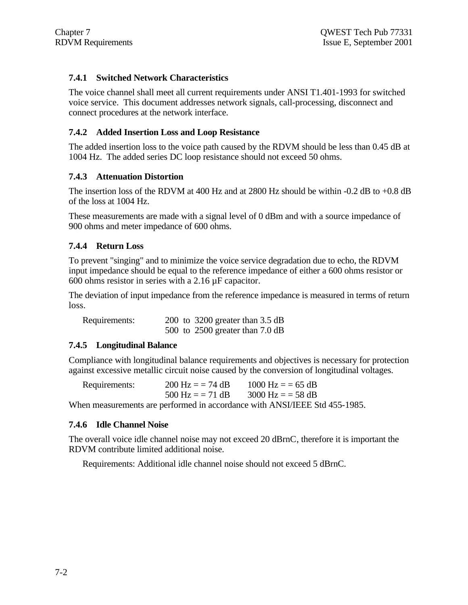# **7.4.1 Switched Network Characteristics**

The voice channel shall meet all current requirements under ANSI T1.401-1993 for switched voice service. This document addresses network signals, call-processing, disconnect and connect procedures at the network interface.

# **7.4.2 Added Insertion Loss and Loop Resistance**

The added insertion loss to the voice path caused by the RDVM should be less than 0.45 dB at 1004 Hz. The added series DC loop resistance should not exceed 50 ohms.

# **7.4.3 Attenuation Distortion**

The insertion loss of the RDVM at 400 Hz and at 2800 Hz should be within -0.2 dB to +0.8 dB of the loss at 1004 Hz.

These measurements are made with a signal level of 0 dBm and with a source impedance of 900 ohms and meter impedance of 600 ohms.

### **7.4.4 Return Loss**

To prevent "singing" and to minimize the voice service degradation due to echo, the RDVM input impedance should be equal to the reference impedance of either a 600 ohms resistor or 600 ohms resistor in series with a 2.16 µF capacitor.

The deviation of input impedance from the reference impedance is measured in terms of return loss.

Requirements: 200 to 3200 greater than 3.5 dB 500 to 2500 greater than 7.0 dB

### **7.4.5 Longitudinal Balance**

Compliance with longitudinal balance requirements and objectives is necessary for protection against excessive metallic circuit noise caused by the conversion of longitudinal voltages.

| Requirements: | $200 \text{ Hz} = 74 \text{ dB}$ | $1000 \text{ Hz} = 65 \text{ dB}$                                          |
|---------------|----------------------------------|----------------------------------------------------------------------------|
|               | $500 \text{ Hz} = 71 \text{ dB}$ | $3000 \text{ Hz} = 58 \text{ dB}$                                          |
|               |                                  | When measurements are performed in accordance with ANSI/IEEE Std 455-1985. |

### **7.4.6 Idle Channel Noise**

The overall voice idle channel noise may not exceed 20 dBrnC, therefore it is important the RDVM contribute limited additional noise.

Requirements: Additional idle channel noise should not exceed 5 dBrnC.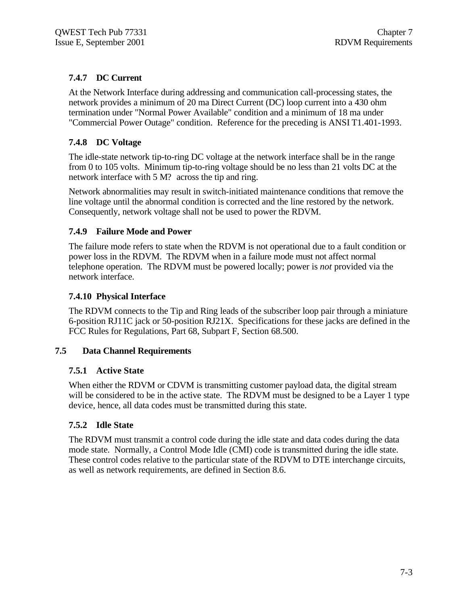# **7.4.7 DC Current**

At the Network Interface during addressing and communication call-processing states, the network provides a minimum of 20 ma Direct Current (DC) loop current into a 430 ohm termination under "Normal Power Available" condition and a minimum of 18 ma under "Commercial Power Outage" condition. Reference for the preceding is ANSI T1.401-1993.

# **7.4.8 DC Voltage**

The idle-state network tip-to-ring DC voltage at the network interface shall be in the range from 0 to 105 volts. Minimum tip-to-ring voltage should be no less than 21 volts DC at the network interface with 5 M? across the tip and ring.

Network abnormalities may result in switch-initiated maintenance conditions that remove the line voltage until the abnormal condition is corrected and the line restored by the network. Consequently, network voltage shall not be used to power the RDVM.

### **7.4.9 Failure Mode and Power**

The failure mode refers to state when the RDVM is not operational due to a fault condition or power loss in the RDVM. The RDVM when in a failure mode must not affect normal telephone operation. The RDVM must be powered locally; power is *not* provided via the network interface.

### **7.4.10 Physical Interface**

The RDVM connects to the Tip and Ring leads of the subscriber loop pair through a miniature 6-position RJ11C jack or 50-position RJ21X. Specifications for these jacks are defined in the FCC Rules for Regulations, Part 68, Subpart F, Section 68.500.

### **7.5 Data Channel Requirements**

# **7.5.1 Active State**

When either the RDVM or CDVM is transmitting customer payload data, the digital stream will be considered to be in the active state. The RDVM must be designed to be a Layer 1 type device, hence, all data codes must be transmitted during this state.

# **7.5.2 Idle State**

The RDVM must transmit a control code during the idle state and data codes during the data mode state. Normally, a Control Mode Idle (CMI) code is transmitted during the idle state. These control codes relative to the particular state of the RDVM to DTE interchange circuits, as well as network requirements, are defined in Section 8.6.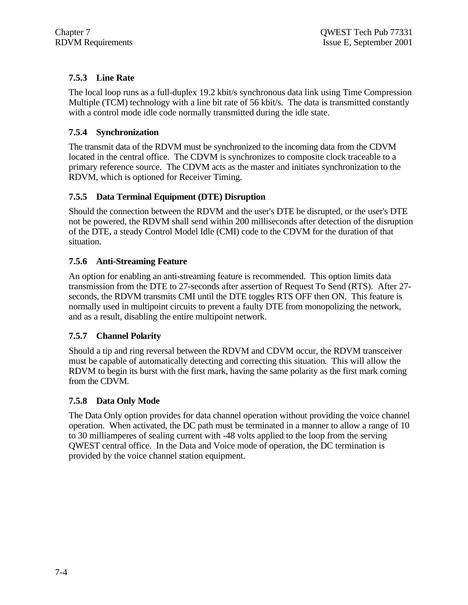# **7.5.3 Line Rate**

The local loop runs as a full-duplex 19.2 kbit/s synchronous data link using Time Compression Multiple (TCM) technology with a line bit rate of 56 kbit/s. The data is transmitted constantly with a control mode idle code normally transmitted during the idle state.

# **7.5.4 Synchronization**

The transmit data of the RDVM must be synchronized to the incoming data from the CDVM located in the central office. The CDVM is synchronizes to composite clock traceable to a primary reference source. The CDVM acts as the master and initiates synchronization to the RDVM, which is optioned for Receiver Timing.

# **7.5.5 Data Terminal Equipment (DTE) Disruption**

Should the connection between the RDVM and the user's DTE be disrupted, or the user's DTE not be powered, the RDVM shall send within 200 milliseconds after detection of the disruption of the DTE, a steady Control Model Idle (CMI) code to the CDVM for the duration of that situation.

# **7.5.6 Anti-Streaming Feature**

An option for enabling an anti-streaming feature is recommended. This option limits data transmission from the DTE to 27-seconds after assertion of Request To Send (RTS). After 27 seconds, the RDVM transmits CMI until the DTE toggles RTS OFF then ON. This feature is normally used in multipoint circuits to prevent a faulty DTE from monopolizing the network, and as a result, disabling the entire multipoint network.

# **7.5.7 Channel Polarity**

Should a tip and ring reversal between the RDVM and CDVM occur, the RDVM transceiver must be capable of automatically detecting and correcting this situation. This will allow the RDVM to begin its burst with the first mark, having the same polarity as the first mark coming from the CDVM.

# **7.5.8 Data Only Mode**

The Data Only option provides for data channel operation without providing the voice channel operation. When activated, the DC path must be terminated in a manner to allow a range of 10 to 30 milliamperes of sealing current with -48 volts applied to the loop from the serving QWEST central office. In the Data and Voice mode of operation, the DC termination is provided by the voice channel station equipment.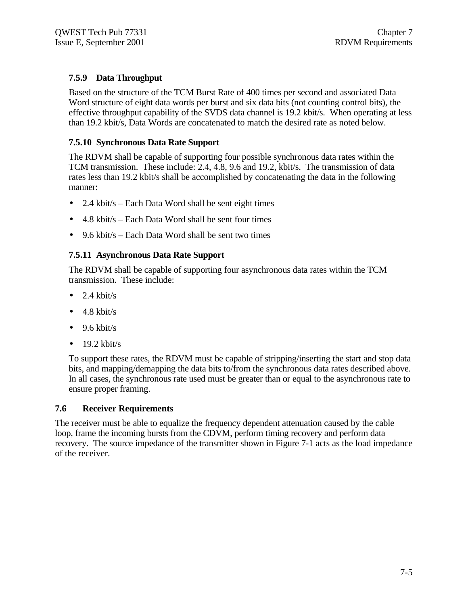# **7.5.9 Data Throughput**

Based on the structure of the TCM Burst Rate of 400 times per second and associated Data Word structure of eight data words per burst and six data bits (not counting control bits), the effective throughput capability of the SVDS data channel is 19.2 kbit/s. When operating at less than 19.2 kbit/s, Data Words are concatenated to match the desired rate as noted below.

# **7.5.10 Synchronous Data Rate Support**

The RDVM shall be capable of supporting four possible synchronous data rates within the TCM transmission. These include: 2.4, 4.8, 9.6 and 19.2, kbit/s. The transmission of data rates less than 19.2 kbit/s shall be accomplished by concatenating the data in the following manner:

- 2.4 kbit/s Each Data Word shall be sent eight times
- 4.8 kbit/s Each Data Word shall be sent four times
- 9.6 kbit/s Each Data Word shall be sent two times

# **7.5.11 Asynchronous Data Rate Support**

The RDVM shall be capable of supporting four asynchronous data rates within the TCM transmission. These include:

- $\bullet$  2.4 kbit/s
- $\bullet$  4.8 kbit/s
- $\bullet$  9.6 kbit/s
- $\bullet$  19.2 kbit/s

To support these rates, the RDVM must be capable of stripping/inserting the start and stop data bits, and mapping/demapping the data bits to/from the synchronous data rates described above. In all cases, the synchronous rate used must be greater than or equal to the asynchronous rate to ensure proper framing.

### **7.6 Receiver Requirements**

The receiver must be able to equalize the frequency dependent attenuation caused by the cable loop, frame the incoming bursts from the CDVM, perform timing recovery and perform data recovery. The source impedance of the transmitter shown in Figure 7-1 acts as the load impedance of the receiver.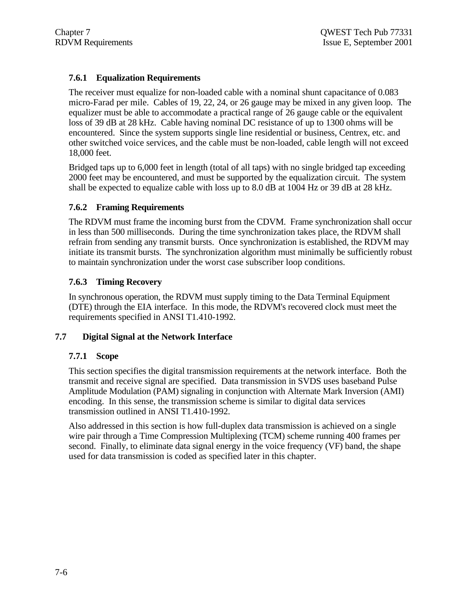# **7.6.1 Equalization Requirements**

The receiver must equalize for non-loaded cable with a nominal shunt capacitance of 0.083 micro-Farad per mile. Cables of 19, 22, 24, or 26 gauge may be mixed in any given loop. The equalizer must be able to accommodate a practical range of 26 gauge cable or the equivalent loss of 39 dB at 28 kHz. Cable having nominal DC resistance of up to 1300 ohms will be encountered. Since the system supports single line residential or business, Centrex, etc. and other switched voice services, and the cable must be non-loaded, cable length will not exceed 18,000 feet.

Bridged taps up to 6,000 feet in length (total of all taps) with no single bridged tap exceeding 2000 feet may be encountered, and must be supported by the equalization circuit. The system shall be expected to equalize cable with loss up to 8.0 dB at 1004 Hz or 39 dB at 28 kHz.

### **7.6.2 Framing Requirements**

The RDVM must frame the incoming burst from the CDVM. Frame synchronization shall occur in less than 500 milliseconds. During the time synchronization takes place, the RDVM shall refrain from sending any transmit bursts. Once synchronization is established, the RDVM may initiate its transmit bursts. The synchronization algorithm must minimally be sufficiently robust to maintain synchronization under the worst case subscriber loop conditions.

# **7.6.3 Timing Recovery**

In synchronous operation, the RDVM must supply timing to the Data Terminal Equipment (DTE) through the EIA interface. In this mode, the RDVM's recovered clock must meet the requirements specified in ANSI T1.410-1992.

# **7.7 Digital Signal at the Network Interface**

### **7.7.1 Scope**

This section specifies the digital transmission requirements at the network interface. Both the transmit and receive signal are specified. Data transmission in SVDS uses baseband Pulse Amplitude Modulation (PAM) signaling in conjunction with Alternate Mark Inversion (AMI) encoding. In this sense, the transmission scheme is similar to digital data services transmission outlined in ANSI T1.410-1992.

Also addressed in this section is how full-duplex data transmission is achieved on a single wire pair through a Time Compression Multiplexing (TCM) scheme running 400 frames per second. Finally, to eliminate data signal energy in the voice frequency (VF) band, the shape used for data transmission is coded as specified later in this chapter.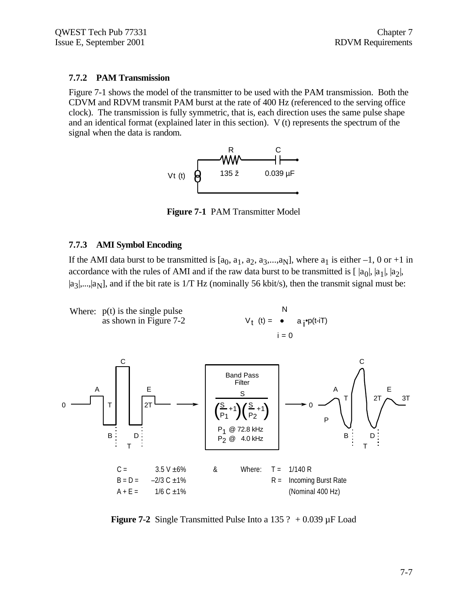### **7.7.2 PAM Transmission**

Figure 7-1 shows the model of the transmitter to be used with the PAM transmission. Both the CDVM and RDVM transmit PAM burst at the rate of 400 Hz (referenced to the serving office clock). The transmission is fully symmetric, that is, each direction uses the same pulse shape and an identical format (explained later in this section). V (t) represents the spectrum of the signal when the data is random.



**Figure 7-1** PAM Transmitter Model

### **7.7.3 AMI Symbol Encoding**

If the AMI data burst to be transmitted is  $[a_0, a_1, a_2, a_3, \ldots, a_N]$ , where  $a_1$  is either  $-1$ , 0 or  $+1$  in accordance with the rules of AMI and if the raw data burst to be transmitted is  $[|a_0|, |a_1|, |a_2|,$  $|a_3|,...,|a_N|$ , and if the bit rate is 1/T Hz (nominally 56 kbit/s), then the transmit signal must be:



**Figure 7-2** Single Transmitted Pulse Into a 135 ?  $+0.039 \mu$ F Load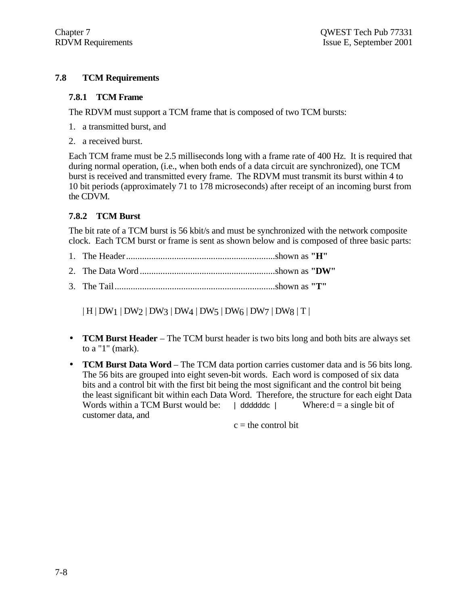# **7.8 TCM Requirements**

### **7.8.1 TCM Frame**

The RDVM must support a TCM frame that is composed of two TCM bursts:

- 1. a transmitted burst, and
- 2. a received burst.

Each TCM frame must be 2.5 milliseconds long with a frame rate of 400 Hz. It is required that during normal operation, (i.e., when both ends of a data circuit are synchronized), one TCM burst is received and transmitted every frame. The RDVM must transmit its burst within 4 to 10 bit periods (approximately 71 to 178 microseconds) after receipt of an incoming burst from the CDVM.

# **7.8.2 TCM Burst**

The bit rate of a TCM burst is 56 kbit/s and must be synchronized with the network composite clock. Each TCM burst or frame is sent as shown below and is composed of three basic parts:

- 1. The Header.................................................................shown as **"H"**
- 2. The Data Word ...........................................................shown as **"DW"**
- 3. The Tail......................................................................shown as **"T"**

 $| H | DW_1 | DW_2 | DW_3 | DW_4 | DW_5 | DW_6 | DW_7 | DW_8 | T |$ 

- **TCM Burst Header**  The TCM burst header is two bits long and both bits are always set to a "1" (mark).
- **TCM Burst Data Word** The TCM data portion carries customer data and is 56 bits long. The 56 bits are grouped into eight seven-bit words. Each word is composed of six data bits and a control bit with the first bit being the most significant and the control bit being the least significant bit within each Data Word. Therefore, the structure for each eight Data Words within a TCM Burst would be:  $\parallel$  ddddddc  $\parallel$  Where:  $d = a$  single bit of customer data, and

 $c =$  the control bit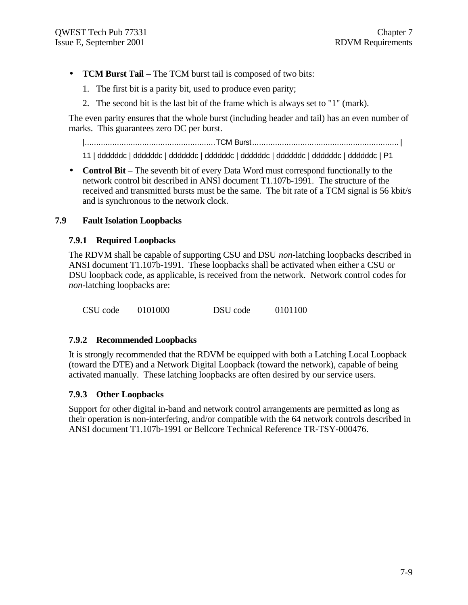- **TCM Burst Tail**  The TCM burst tail is composed of two bits:
	- 1. The first bit is a parity bit, used to produce even parity;
	- 2. The second bit is the last bit of the frame which is always set to "1" (mark).

The even parity ensures that the whole burst (including header and tail) has an even number of marks. This guarantees zero DC per burst.

|.........................................................TCM Burst................................................................ |

11 | ddddddc | ddddddc | ddddddc | ddddddc | ddddddc | ddddddc | ddddddc | ddddddc | P1

• **Control Bit** – The seventh bit of every Data Word must correspond functionally to the network control bit described in ANSI document T1.107b-1991. The structure of the received and transmitted bursts must be the same. The bit rate of a TCM signal is 56 kbit/s and is synchronous to the network clock.

# **7.9 Fault Isolation Loopbacks**

### **7.9.1 Required Loopbacks**

The RDVM shall be capable of supporting CSU and DSU *non*-latching loopbacks described in ANSI document T1.107b-1991. These loopbacks shall be activated when either a CSU or DSU loopback code, as applicable, is received from the network. Network control codes for *non*-latching loopbacks are:

CSU code 0101000 DSU code 0101100

### **7.9.2 Recommended Loopbacks**

It is strongly recommended that the RDVM be equipped with both a Latching Local Loopback (toward the DTE) and a Network Digital Loopback (toward the network), capable of being activated manually. These latching loopbacks are often desired by our service users.

# **7.9.3 Other Loopbacks**

Support for other digital in-band and network control arrangements are permitted as long as their operation is non-interfering, and/or compatible with the 64 network controls described in ANSI document T1.107b-1991 or Bellcore Technical Reference TR-TSY-000476.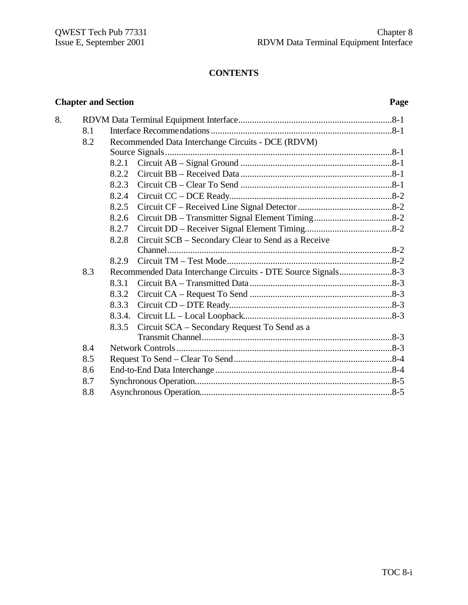# **CONTENTS**

# **Chapter and Section Page**

| 8. |     |                                                             |
|----|-----|-------------------------------------------------------------|
|    | 8.1 |                                                             |
|    | 8.2 | Recommended Data Interchange Circuits - DCE (RDVM)          |
|    |     |                                                             |
|    |     | 8.2.1                                                       |
|    |     | 8.2.2                                                       |
|    |     | 8.2.3                                                       |
|    |     | 8.2.4                                                       |
|    |     | 8.2.5                                                       |
|    |     | 8.2.6                                                       |
|    |     | 8.2.7                                                       |
|    |     | Circuit SCB - Secondary Clear to Send as a Receive<br>8.2.8 |
|    |     |                                                             |
|    |     | 8.2.9                                                       |
|    | 8.3 |                                                             |
|    |     | 8.3.1                                                       |
|    |     | 8.3.2                                                       |
|    |     | 8.3.3                                                       |
|    |     |                                                             |
|    |     | Circuit SCA - Secondary Request To Send as a<br>8.3.5       |
|    |     |                                                             |
|    | 8.4 |                                                             |
|    | 8.5 |                                                             |
|    | 8.6 |                                                             |
|    | 8.7 |                                                             |
|    | 8.8 |                                                             |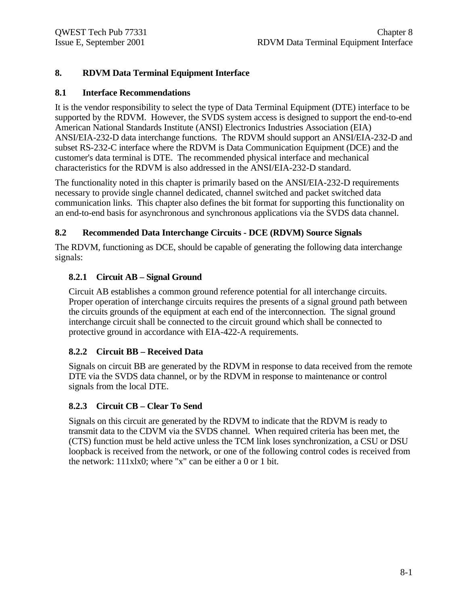# **8. RDVM Data Terminal Equipment Interface**

### **8.1 Interface Recommendations**

It is the vendor responsibility to select the type of Data Terminal Equipment (DTE) interface to be supported by the RDVM. However, the SVDS system access is designed to support the end-to-end American National Standards Institute (ANSI) Electronics Industries Association (EIA) ANSI/EIA-232-D data interchange functions. The RDVM should support an ANSI/EIA-232-D and subset RS-232-C interface where the RDVM is Data Communication Equipment (DCE) and the customer's data terminal is DTE. The recommended physical interface and mechanical characteristics for the RDVM is also addressed in the ANSI/EIA-232-D standard.

The functionality noted in this chapter is primarily based on the ANSI/EIA-232-D requirements necessary to provide single channel dedicated, channel switched and packet switched data communication links. This chapter also defines the bit format for supporting this functionality on an end-to-end basis for asynchronous and synchronous applications via the SVDS data channel.

# **8.2 Recommended Data Interchange Circuits - DCE (RDVM) Source Signals**

The RDVM, functioning as DCE, should be capable of generating the following data interchange signals:

# **8.2.1 Circuit AB – Signal Ground**

Circuit AB establishes a common ground reference potential for all interchange circuits. Proper operation of interchange circuits requires the presents of a signal ground path between the circuits grounds of the equipment at each end of the interconnection. The signal ground interchange circuit shall be connected to the circuit ground which shall be connected to protective ground in accordance with EIA-422-A requirements.

# **8.2.2 Circuit BB – Received Data**

Signals on circuit BB are generated by the RDVM in response to data received from the remote DTE via the SVDS data channel, or by the RDVM in response to maintenance or control signals from the local DTE.

# **8.2.3 Circuit CB – Clear To Send**

Signals on this circuit are generated by the RDVM to indicate that the RDVM is ready to transmit data to the CDVM via the SVDS channel. When required criteria has been met, the (CTS) function must be held active unless the TCM link loses synchronization, a CSU or DSU loopback is received from the network, or one of the following control codes is received from the network: 111xlx0; where "x" can be either a 0 or 1 bit.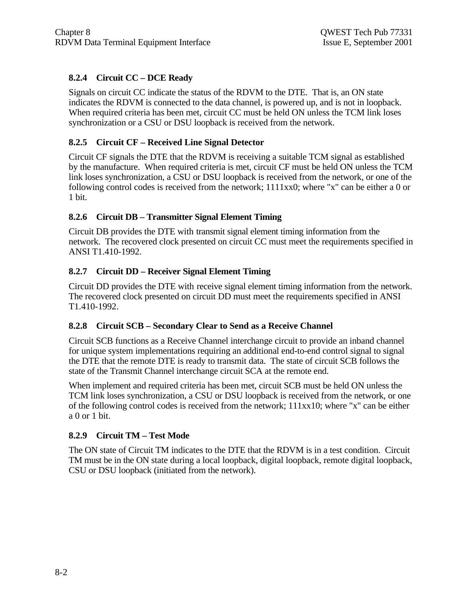# **8.2.4 Circuit CC – DCE Ready**

Signals on circuit CC indicate the status of the RDVM to the DTE. That is, an ON state indicates the RDVM is connected to the data channel, is powered up, and is not in loopback. When required criteria has been met, circuit CC must be held ON unless the TCM link loses synchronization or a CSU or DSU loopback is received from the network.

# **8.2.5 Circuit CF – Received Line Signal Detector**

Circuit CF signals the DTE that the RDVM is receiving a suitable TCM signal as established by the manufacture. When required criteria is met, circuit CF must be held ON unless the TCM link loses synchronization, a CSU or DSU loopback is received from the network, or one of the following control codes is received from the network; 1111xx0; where "x" can be either a 0 or 1 bit.

# **8.2.6 Circuit DB – Transmitter Signal Element Timing**

Circuit DB provides the DTE with transmit signal element timing information from the network. The recovered clock presented on circuit CC must meet the requirements specified in ANSI T1.410-1992.

# **8.2.7 Circuit DD – Receiver Signal Element Timing**

Circuit DD provides the DTE with receive signal element timing information from the network. The recovered clock presented on circuit DD must meet the requirements specified in ANSI T1.410-1992.

# **8.2.8 Circuit SCB – Secondary Clear to Send as a Receive Channel**

Circuit SCB functions as a Receive Channel interchange circuit to provide an inband channel for unique system implementations requiring an additional end-to-end control signal to signal the DTE that the remote DTE is ready to transmit data. The state of circuit SCB follows the state of the Transmit Channel interchange circuit SCA at the remote end.

When implement and required criteria has been met, circuit SCB must be held ON unless the TCM link loses synchronization, a CSU or DSU loopback is received from the network, or one of the following control codes is received from the network; 111xx10; where "x" can be either a 0 or 1 bit.

# **8.2.9 Circuit TM – Test Mode**

The ON state of Circuit TM indicates to the DTE that the RDVM is in a test condition. Circuit TM must be in the ON state during a local loopback, digital loopback, remote digital loopback, CSU or DSU loopback (initiated from the network).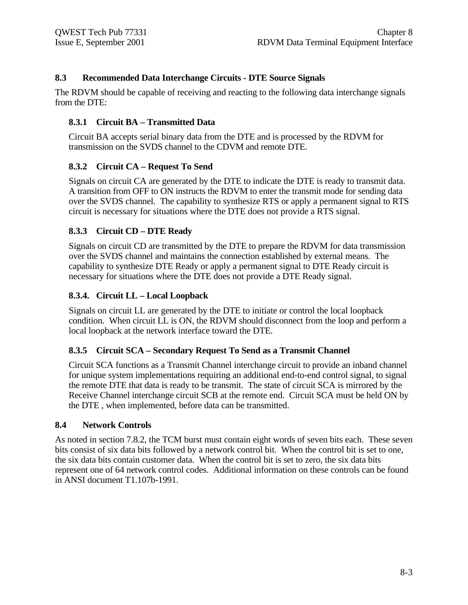# **8.3 Recommended Data Interchange Circuits - DTE Source Signals**

The RDVM should be capable of receiving and reacting to the following data interchange signals from the DTE:

# **8.3.1 Circuit BA – Transmitted Data**

Circuit BA accepts serial binary data from the DTE and is processed by the RDVM for transmission on the SVDS channel to the CDVM and remote DTE.

# **8.3.2 Circuit CA – Request To Send**

Signals on circuit CA are generated by the DTE to indicate the DTE is ready to transmit data. A transition from OFF to ON instructs the RDVM to enter the transmit mode for sending data over the SVDS channel. The capability to synthesize RTS or apply a permanent signal to RTS circuit is necessary for situations where the DTE does not provide a RTS signal.

# **8.3.3 Circuit CD – DTE Ready**

Signals on circuit CD are transmitted by the DTE to prepare the RDVM for data transmission over the SVDS channel and maintains the connection established by external means. The capability to synthesize DTE Ready or apply a permanent signal to DTE Ready circuit is necessary for situations where the DTE does not provide a DTE Ready signal.

# **8.3.4. Circuit LL – Local Loopback**

Signals on circuit LL are generated by the DTE to initiate or control the local loopback condition. When circuit LL is ON, the RDVM should disconnect from the loop and perform a local loopback at the network interface toward the DTE.

# **8.3.5 Circuit SCA – Secondary Request To Send as a Transmit Channel**

Circuit SCA functions as a Transmit Channel interchange circuit to provide an inband channel for unique system implementations requiring an additional end-to-end control signal, to signal the remote DTE that data is ready to be transmit. The state of circuit SCA is mirrored by the Receive Channel interchange circuit SCB at the remote end. Circuit SCA must be held ON by the DTE , when implemented, before data can be transmitted.

### **8.4 Network Controls**

As noted in section 7.8.2, the TCM burst must contain eight words of seven bits each. These seven bits consist of six data bits followed by a network control bit. When the control bit is set to one, the six data bits contain customer data. When the control bit is set to zero, the six data bits represent one of 64 network control codes. Additional information on these controls can be found in ANSI document T1.107b-1991.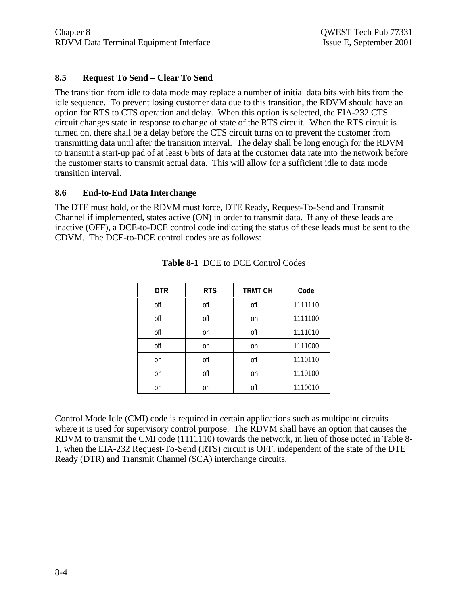# **8.5 Request To Send – Clear To Send**

The transition from idle to data mode may replace a number of initial data bits with bits from the idle sequence. To prevent losing customer data due to this transition, the RDVM should have an option for RTS to CTS operation and delay. When this option is selected, the EIA-232 CTS circuit changes state in response to change of state of the RTS circuit. When the RTS circuit is turned on, there shall be a delay before the CTS circuit turns on to prevent the customer from transmitting data until after the transition interval. The delay shall be long enough for the RDVM to transmit a start-up pad of at least 6 bits of data at the customer data rate into the network before the customer starts to transmit actual data. This will allow for a sufficient idle to data mode transition interval.

### **8.6 End-to-End Data Interchange**

The DTE must hold, or the RDVM must force, DTE Ready, Request-To-Send and Transmit Channel if implemented, states active (ON) in order to transmit data. If any of these leads are inactive (OFF), a DCE-to-DCE control code indicating the status of these leads must be sent to the CDVM. The DCE-to-DCE control codes are as follows:

| <b>DTR</b>    | <b>RTS</b> | <b>TRMT CH</b> | Code    |
|---------------|------------|----------------|---------|
| off           | off        | off            | 1111110 |
| off           | off        | <sub>on</sub>  | 1111100 |
| off           | on         | off            | 1111010 |
| off           | on         | <sub>on</sub>  | 1111000 |
| <sub>on</sub> | off        | off            | 1110110 |
| <sub>on</sub> | off        | <sub>on</sub>  | 1110100 |
| <sub>on</sub> | on         | off            | 1110010 |

|  |  | <b>Table 8-1 DCE to DCE Control Codes</b> |
|--|--|-------------------------------------------|
|--|--|-------------------------------------------|

Control Mode Idle (CMI) code is required in certain applications such as multipoint circuits where it is used for supervisory control purpose. The RDVM shall have an option that causes the RDVM to transmit the CMI code (1111110) towards the network, in lieu of those noted in Table 8- 1, when the EIA-232 Request-To-Send (RTS) circuit is OFF, independent of the state of the DTE Ready (DTR) and Transmit Channel (SCA) interchange circuits.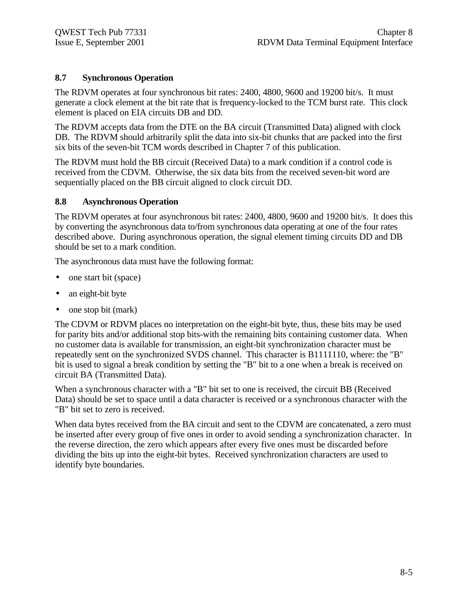# **8.7 Synchronous Operation**

The RDVM operates at four synchronous bit rates: 2400, 4800, 9600 and 19200 bit/s. It must generate a clock element at the bit rate that is frequency-locked to the TCM burst rate. This clock element is placed on EIA circuits DB and DD.

The RDVM accepts data from the DTE on the BA circuit (Transmitted Data) aligned with clock DB. The RDVM should arbitrarily split the data into six-bit chunks that are packed into the first six bits of the seven-bit TCM words described in Chapter 7 of this publication.

The RDVM must hold the BB circuit (Received Data) to a mark condition if a control code is received from the CDVM. Otherwise, the six data bits from the received seven-bit word are sequentially placed on the BB circuit aligned to clock circuit DD.

# **8.8 Asynchronous Operation**

The RDVM operates at four asynchronous bit rates: 2400, 4800, 9600 and 19200 bit/s. It does this by converting the asynchronous data to/from synchronous data operating at one of the four rates described above. During asynchronous operation, the signal element timing circuits DD and DB should be set to a mark condition.

The asynchronous data must have the following format:

- one start bit (space)
- an eight-bit byte
- one stop bit (mark)

The CDVM or RDVM places no interpretation on the eight-bit byte, thus, these bits may be used for parity bits and/or additional stop bits-with the remaining bits containing customer data. When no customer data is available for transmission, an eight-bit synchronization character must be repeatedly sent on the synchronized SVDS channel. This character is B1111110, where: the "B" bit is used to signal a break condition by setting the "B" bit to a one when a break is received on circuit BA (Transmitted Data).

When a synchronous character with a "B" bit set to one is received, the circuit BB (Received Data) should be set to space until a data character is received or a synchronous character with the "B" bit set to zero is received.

When data bytes received from the BA circuit and sent to the CDVM are concatenated, a zero must be inserted after every group of five ones in order to avoid sending a synchronization character. In the reverse direction, the zero which appears after every five ones must be discarded before dividing the bits up into the eight-bit bytes. Received synchronization characters are used to identify byte boundaries.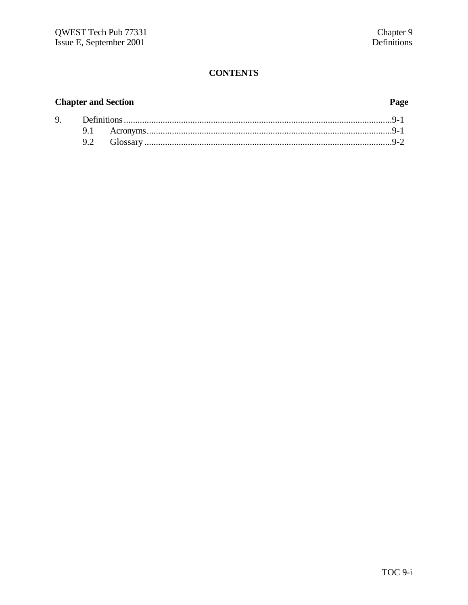# **CONTENTS**

# **Chapter and Section**

# Page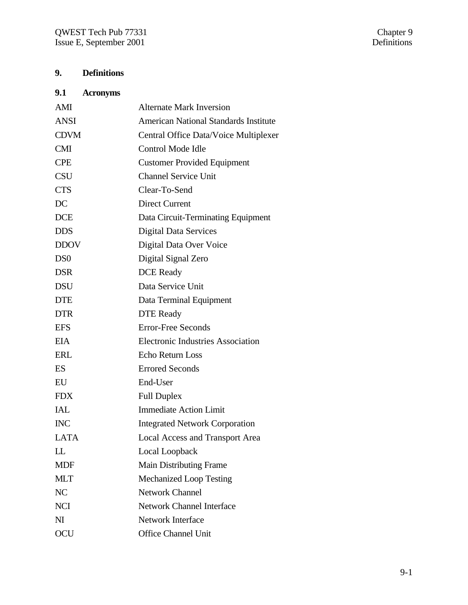# **9. Definitions**

| 9.1 | <b>Acronyms</b> |
|-----|-----------------|
|     |                 |

| AMI             | <b>Alternate Mark Inversion</b>              |
|-----------------|----------------------------------------------|
| <b>ANSI</b>     | <b>American National Standards Institute</b> |
| <b>CDVM</b>     | Central Office Data/Voice Multiplexer        |
| <b>CMI</b>      | Control Mode Idle                            |
| <b>CPE</b>      | <b>Customer Provided Equipment</b>           |
| <b>CSU</b>      | <b>Channel Service Unit</b>                  |
| <b>CTS</b>      | Clear-To-Send                                |
| DC              | <b>Direct Current</b>                        |
| <b>DCE</b>      | Data Circuit-Terminating Equipment           |
| <b>DDS</b>      | <b>Digital Data Services</b>                 |
| <b>DDOV</b>     | Digital Data Over Voice                      |
| D <sub>S0</sub> | Digital Signal Zero                          |
| <b>DSR</b>      | <b>DCE</b> Ready                             |
| <b>DSU</b>      | Data Service Unit                            |
| <b>DTE</b>      | Data Terminal Equipment                      |
| <b>DTR</b>      | <b>DTE</b> Ready                             |
| <b>EFS</b>      | <b>Error-Free Seconds</b>                    |
| <b>EIA</b>      | <b>Electronic Industries Association</b>     |
| <b>ERL</b>      | <b>Echo Return Loss</b>                      |
| ES              | <b>Errored Seconds</b>                       |
| EU              | End-User                                     |
| <b>FDX</b>      | <b>Full Duplex</b>                           |
| <b>IAL</b>      | <b>Immediate Action Limit</b>                |
| <b>INC</b>      | <b>Integrated Network Corporation</b>        |
| <b>LATA</b>     | <b>Local Access and Transport Area</b>       |
| LL              | Local Loopback                               |
| <b>MDF</b>      | <b>Main Distributing Frame</b>               |
| <b>MLT</b>      | <b>Mechanized Loop Testing</b>               |
| NC              | <b>Network Channel</b>                       |
| <b>NCI</b>      | <b>Network Channel Interface</b>             |
| N <sub>I</sub>  | Network Interface                            |
| OCU             | <b>Office Channel Unit</b>                   |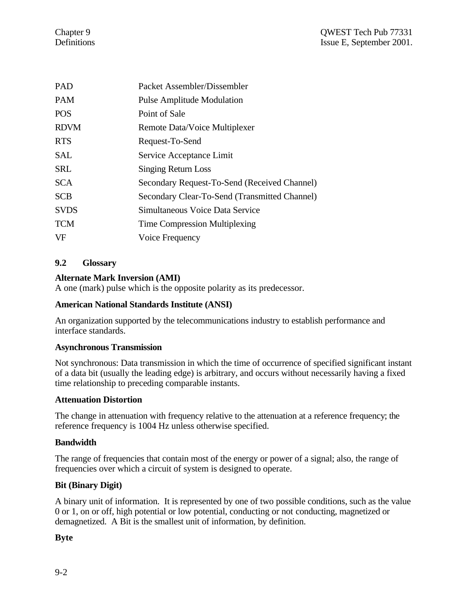| <b>PAD</b>  | Packet Assembler/Dissembler                   |
|-------------|-----------------------------------------------|
| <b>PAM</b>  | <b>Pulse Amplitude Modulation</b>             |
| <b>POS</b>  | Point of Sale                                 |
| <b>RDVM</b> | Remote Data/Voice Multiplexer                 |
| <b>RTS</b>  | Request-To-Send                               |
| SAL         | Service Acceptance Limit                      |
| <b>SRL</b>  | <b>Singing Return Loss</b>                    |
| <b>SCA</b>  | Secondary Request-To-Send (Received Channel)  |
| <b>SCB</b>  | Secondary Clear-To-Send (Transmitted Channel) |
| <b>SVDS</b> | Simultaneous Voice Data Service               |
| <b>TCM</b>  | <b>Time Compression Multiplexing</b>          |
| <b>VF</b>   | Voice Frequency                               |

# **9.2 Glossary**

# **Alternate Mark Inversion (AMI)**

A one (mark) pulse which is the opposite polarity as its predecessor.

# **American National Standards Institute (ANSI)**

An organization supported by the telecommunications industry to establish performance and interface standards.

### **Asynchronous Transmission**

Not synchronous: Data transmission in which the time of occurrence of specified significant instant of a data bit (usually the leading edge) is arbitrary, and occurs without necessarily having a fixed time relationship to preceding comparable instants.

### **Attenuation Distortion**

The change in attenuation with frequency relative to the attenuation at a reference frequency; the reference frequency is 1004 Hz unless otherwise specified.

### **Bandwidth**

The range of frequencies that contain most of the energy or power of a signal; also, the range of frequencies over which a circuit of system is designed to operate.

# **Bit (Binary Digit)**

A binary unit of information. It is represented by one of two possible conditions, such as the value 0 or 1, on or off, high potential or low potential, conducting or not conducting, magnetized or demagnetized. A Bit is the smallest unit of information, by definition.

**Byte**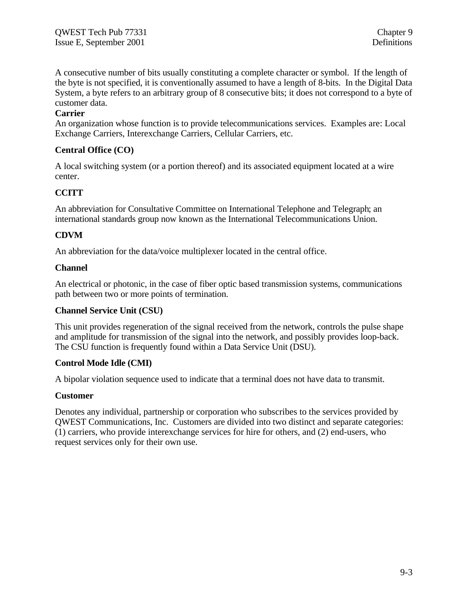A consecutive number of bits usually constituting a complete character or symbol. If the length of the byte is not specified, it is conventionally assumed to have a length of 8-bits. In the Digital Data System, a byte refers to an arbitrary group of 8 consecutive bits; it does not correspond to a byte of customer data.

# **Carrier**

An organization whose function is to provide telecommunications services. Examples are: Local Exchange Carriers, Interexchange Carriers, Cellular Carriers, etc.

### **Central Office (CO)**

A local switching system (or a portion thereof) and its associated equipment located at a wire center.

# **CCITT**

An abbreviation for Consultative Committee on International Telephone and Telegraph; an international standards group now known as the International Telecommunications Union.

# **CDVM**

An abbreviation for the data/voice multiplexer located in the central office.

### **Channel**

An electrical or photonic, in the case of fiber optic based transmission systems, communications path between two or more points of termination.

### **Channel Service Unit (CSU)**

This unit provides regeneration of the signal received from the network, controls the pulse shape and amplitude for transmission of the signal into the network, and possibly provides loop-back. The CSU function is frequently found within a Data Service Unit (DSU).

### **Control Mode Idle (CMI)**

A bipolar violation sequence used to indicate that a terminal does not have data to transmit.

### **Customer**

Denotes any individual, partnership or corporation who subscribes to the services provided by QWEST Communications, Inc. Customers are divided into two distinct and separate categories: (1) carriers, who provide interexchange services for hire for others, and (2) end-users, who request services only for their own use.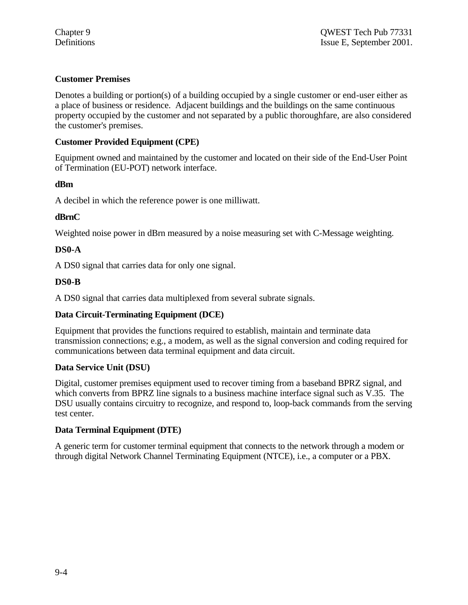# **Customer Premises**

Denotes a building or portion(s) of a building occupied by a single customer or end-user either as a place of business or residence. Adjacent buildings and the buildings on the same continuous property occupied by the customer and not separated by a public thoroughfare, are also considered the customer's premises.

# **Customer Provided Equipment (CPE)**

Equipment owned and maintained by the customer and located on their side of the End-User Point of Termination (EU-POT) network interface.

# **dBm**

A decibel in which the reference power is one milliwatt.

# **dBrnC**

Weighted noise power in dBrn measured by a noise measuring set with C-Message weighting.

# **DS0-A**

A DS0 signal that carries data for only one signal.

# **DS0-B**

A DS0 signal that carries data multiplexed from several subrate signals.

# **Data Circuit-Terminating Equipment (DCE)**

Equipment that provides the functions required to establish, maintain and terminate data transmission connections; e.g., a modem, as well as the signal conversion and coding required for communications between data terminal equipment and data circuit.

# **Data Service Unit (DSU)**

Digital, customer premises equipment used to recover timing from a baseband BPRZ signal, and which converts from BPRZ line signals to a business machine interface signal such as V.35. The DSU usually contains circuitry to recognize, and respond to, loop-back commands from the serving test center.

# **Data Terminal Equipment (DTE)**

A generic term for customer terminal equipment that connects to the network through a modem or through digital Network Channel Terminating Equipment (NTCE), i.e., a computer or a PBX.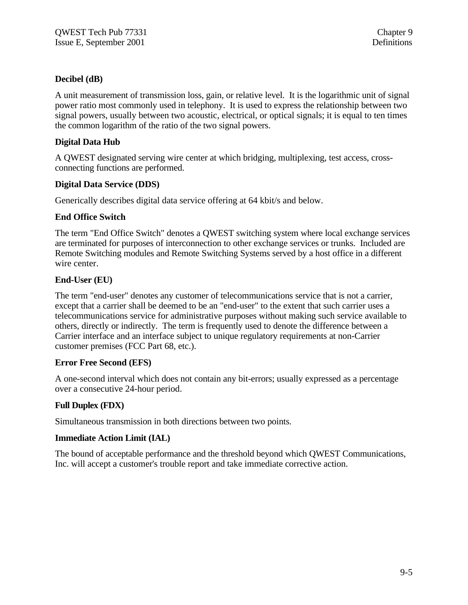### **Decibel (dB)**

A unit measurement of transmission loss, gain, or relative level. It is the logarithmic unit of signal power ratio most commonly used in telephony. It is used to express the relationship between two signal powers, usually between two acoustic, electrical, or optical signals; it is equal to ten times the common logarithm of the ratio of the two signal powers.

### **Digital Data Hub**

A QWEST designated serving wire center at which bridging, multiplexing, test access, crossconnecting functions are performed.

### **Digital Data Service (DDS)**

Generically describes digital data service offering at 64 kbit/s and below.

### **End Office Switch**

The term "End Office Switch" denotes a QWEST switching system where local exchange services are terminated for purposes of interconnection to other exchange services or trunks. Included are Remote Switching modules and Remote Switching Systems served by a host office in a different wire center.

### **End-User (EU)**

The term "end-user" denotes any customer of telecommunications service that is not a carrier, except that a carrier shall be deemed to be an "end-user" to the extent that such carrier uses a telecommunications service for administrative purposes without making such service available to others, directly or indirectly. The term is frequently used to denote the difference between a Carrier interface and an interface subject to unique regulatory requirements at non-Carrier customer premises (FCC Part 68, etc.).

### **Error Free Second (EFS)**

A one-second interval which does not contain any bit-errors; usually expressed as a percentage over a consecutive 24-hour period.

### **Full Duplex (FDX)**

Simultaneous transmission in both directions between two points.

### **Immediate Action Limit (IAL)**

The bound of acceptable performance and the threshold beyond which QWEST Communications, Inc. will accept a customer's trouble report and take immediate corrective action.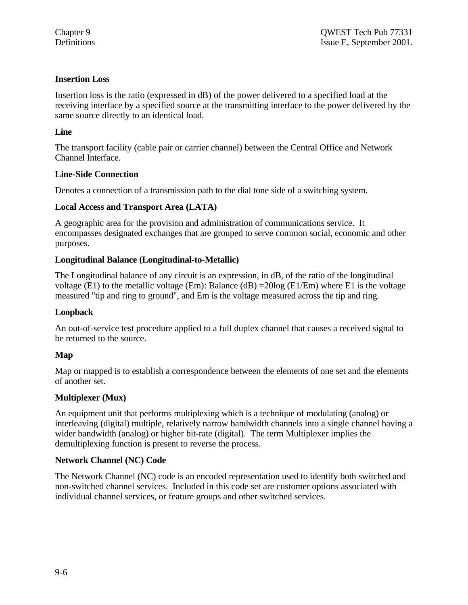### **Insertion Loss**

Insertion loss is the ratio (expressed in dB) of the power delivered to a specified load at the receiving interface by a specified source at the transmitting interface to the power delivered by the same source directly to an identical load.

### **Line**

The transport facility (cable pair or carrier channel) between the Central Office and Network Channel Interface.

### **Line-Side Connection**

Denotes a connection of a transmission path to the dial tone side of a switching system.

### **Local Access and Transport Area (LATA)**

A geographic area for the provision and administration of communications service. It encompasses designated exchanges that are grouped to serve common social, economic and other purposes.

### **Longitudinal Balance (Longitudinal-to-Metallic)**

The Longitudinal balance of any circuit is an expression, in dB, of the ratio of the longitudinal voltage (E1) to the metallic voltage (Em): Balance (dB) =  $20\log$  (E1/Em) where E1 is the voltage measured "tip and ring to ground", and Em is the voltage measured across the tip and ring.

### **Loopback**

An out-of-service test procedure applied to a full duplex channel that causes a received signal to be returned to the source.

### **Map**

Map or mapped is to establish a correspondence between the elements of one set and the elements of another set.

# **Multiplexer (Mux)**

An equipment unit that performs multiplexing which is a technique of modulating (analog) or interleaving (digital) multiple, relatively narrow bandwidth channels into a single channel having a wider bandwidth (analog) or higher bit-rate (digital). The term Multiplexer implies the demultiplexing function is present to reverse the process.

### **Network Channel (NC) Code**

The Network Channel (NC) code is an encoded representation used to identify both switched and non-switched channel services. Included in this code set are customer options associated with individual channel services, or feature groups and other switched services.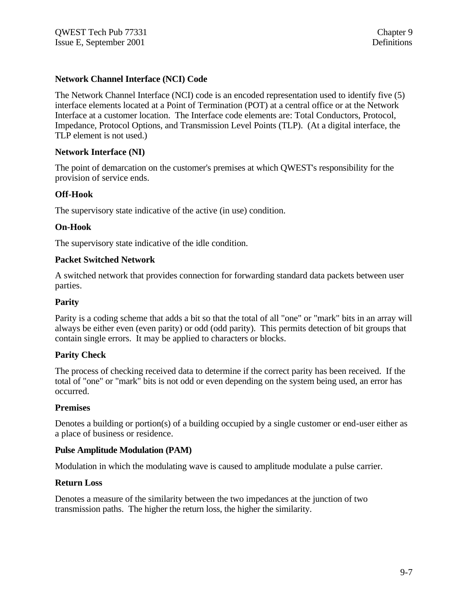# **Network Channel Interface (NCI) Code**

The Network Channel Interface (NCI) code is an encoded representation used to identify five (5) interface elements located at a Point of Termination (POT) at a central office or at the Network Interface at a customer location. The Interface code elements are: Total Conductors, Protocol, Impedance, Protocol Options, and Transmission Level Points (TLP). (At a digital interface, the TLP element is not used.)

### **Network Interface (NI)**

The point of demarcation on the customer's premises at which QWEST's responsibility for the provision of service ends.

# **Off-Hook**

The supervisory state indicative of the active (in use) condition.

### **On-Hook**

The supervisory state indicative of the idle condition.

### **Packet Switched Network**

A switched network that provides connection for forwarding standard data packets between user parties.

### **Parity**

Parity is a coding scheme that adds a bit so that the total of all "one" or "mark" bits in an array will always be either even (even parity) or odd (odd parity). This permits detection of bit groups that contain single errors. It may be applied to characters or blocks.

### **Parity Check**

The process of checking received data to determine if the correct parity has been received. If the total of "one" or "mark" bits is not odd or even depending on the system being used, an error has occurred.

### **Premises**

Denotes a building or portion(s) of a building occupied by a single customer or end-user either as a place of business or residence.

### **Pulse Amplitude Modulation (PAM)**

Modulation in which the modulating wave is caused to amplitude modulate a pulse carrier.

### **Return Loss**

Denotes a measure of the similarity between the two impedances at the junction of two transmission paths. The higher the return loss, the higher the similarity.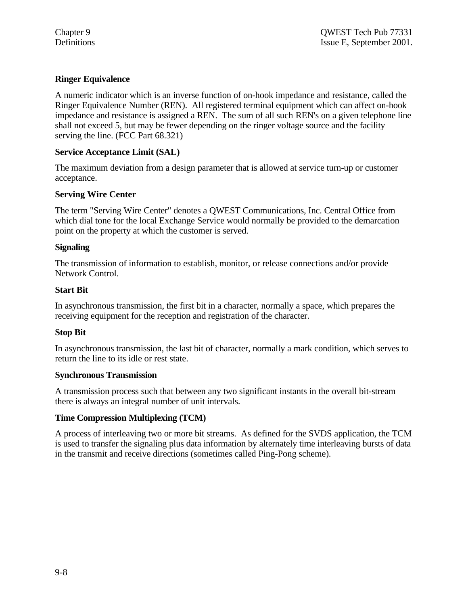# **Ringer Equivalence**

A numeric indicator which is an inverse function of on-hook impedance and resistance, called the Ringer Equivalence Number (REN). All registered terminal equipment which can affect on-hook impedance and resistance is assigned a REN. The sum of all such REN's on a given telephone line shall not exceed 5, but may be fewer depending on the ringer voltage source and the facility serving the line. (FCC Part 68.321)

### **Service Acceptance Limit (SAL)**

The maximum deviation from a design parameter that is allowed at service turn-up or customer acceptance.

# **Serving Wire Center**

The term "Serving Wire Center" denotes a QWEST Communications, Inc. Central Office from which dial tone for the local Exchange Service would normally be provided to the demarcation point on the property at which the customer is served.

### **Signaling**

The transmission of information to establish, monitor, or release connections and/or provide Network Control.

### **Start Bit**

In asynchronous transmission, the first bit in a character, normally a space, which prepares the receiving equipment for the reception and registration of the character.

# **Stop Bit**

In asynchronous transmission, the last bit of character, normally a mark condition, which serves to return the line to its idle or rest state.

### **Synchronous Transmission**

A transmission process such that between any two significant instants in the overall bit-stream there is always an integral number of unit intervals.

# **Time Compression Multiplexing (TCM)**

A process of interleaving two or more bit streams. As defined for the SVDS application, the TCM is used to transfer the signaling plus data information by alternately time interleaving bursts of data in the transmit and receive directions (sometimes called Ping-Pong scheme).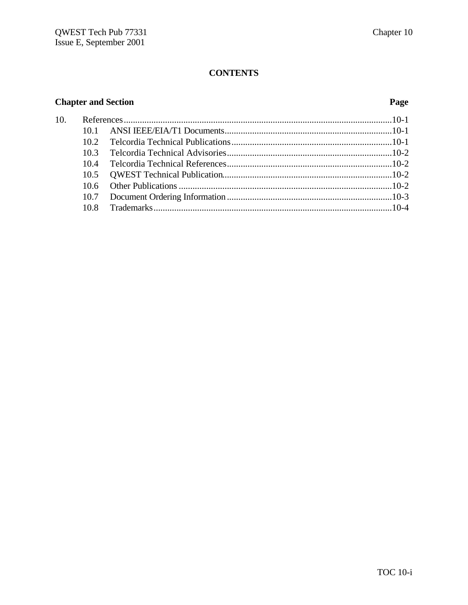# **CONTENTS**

# **Chapter and Section Page**

| 10. |      |  |
|-----|------|--|
|     |      |  |
|     |      |  |
|     | 103  |  |
|     | 104  |  |
|     |      |  |
|     |      |  |
|     |      |  |
|     | 10.8 |  |
|     |      |  |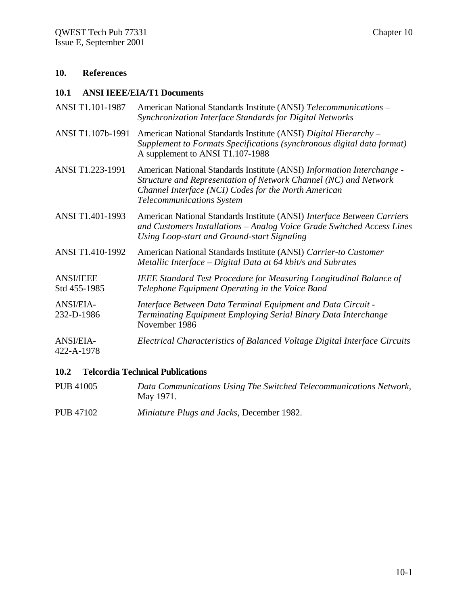# **10. References**

### **10.1 ANSI IEEE/EIA/T1 Documents**

| ANSI T1.101-1987                 | American National Standards Institute (ANSI) Telecommunications -<br>Synchronization Interface Standards for Digital Networks                                                                                                          |
|----------------------------------|----------------------------------------------------------------------------------------------------------------------------------------------------------------------------------------------------------------------------------------|
| ANSI T1.107b-1991                | American National Standards Institute (ANSI) Digital Hierarchy -<br>Supplement to Formats Specifications (synchronous digital data format)<br>A supplement to ANSI T1.107-1988                                                         |
| ANSI T1.223-1991                 | American National Standards Institute (ANSI) Information Interchange -<br>Structure and Representation of Network Channel (NC) and Network<br>Channel Interface (NCI) Codes for the North American<br><b>Telecommunications System</b> |
| ANSI T1.401-1993                 | American National Standards Institute (ANSI) Interface Between Carriers<br>and Customers Installations - Analog Voice Grade Switched Access Lines<br>Using Loop-start and Ground-start Signaling                                       |
| ANSI T1.410-1992                 | American National Standards Institute (ANSI) Carrier-to Customer<br>Metallic Interface – Digital Data at $64$ kbit/s and Subrates                                                                                                      |
| <b>ANSI/IEEE</b><br>Std 455-1985 | <b>IEEE Standard Test Procedure for Measuring Longitudinal Balance of</b><br>Telephone Equipment Operating in the Voice Band                                                                                                           |
| <b>ANSI/EIA-</b><br>232-D-1986   | Interface Between Data Terminal Equipment and Data Circuit -<br>Terminating Equipment Employing Serial Binary Data Interchange<br>November 1986                                                                                        |
| <b>ANSI/EIA-</b><br>422-A-1978   | Electrical Characteristics of Balanced Voltage Digital Interface Circuits                                                                                                                                                              |

# **10.2 Telcordia Technical Publications**

- PUB 41005 *Data Communications Using The Switched Telecommunications Network,* May 1971.
- PUB 47102 *Miniature Plugs and Jacks,* December 1982.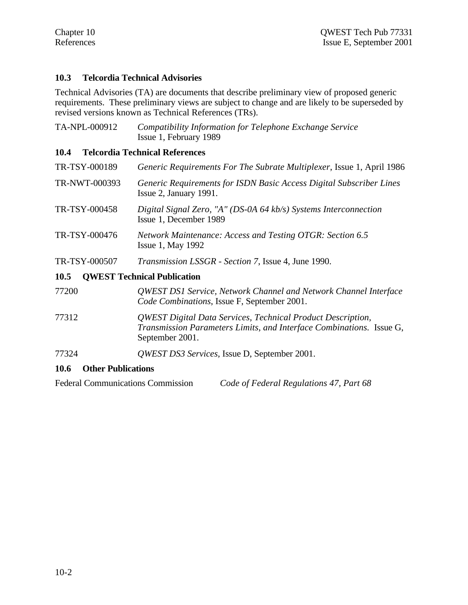# **10.3 Telcordia Technical Advisories**

Technical Advisories (TA) are documents that describe preliminary view of proposed generic requirements. These preliminary views are subject to change and are likely to be superseded by revised versions known as Technical References (TRs).

| TA-NPL-000912 | Compatibility Information for Telephone Exchange Service<br>Issue 1, February 1989                                                                            |
|---------------|---------------------------------------------------------------------------------------------------------------------------------------------------------------|
| 10.4          | <b>Telcordia Technical References</b>                                                                                                                         |
| TR-TSY-000189 | Generic Requirements For The Subrate Multiplexer, Issue 1, April 1986                                                                                         |
| TR-NWT-000393 | Generic Requirements for ISDN Basic Access Digital Subscriber Lines<br>Issue 2, January 1991.                                                                 |
| TR-TSY-000458 | Digital Signal Zero, "A" (DS-0A 64 kb/s) Systems Interconnection<br>Issue 1, December 1989                                                                    |
| TR-TSY-000476 | Network Maintenance: Access and Testing OTGR: Section 6.5<br><b>Issue 1, May 1992</b>                                                                         |
| TR-TSY-000507 | <i>Transmission LSSGR - Section 7, Issue 4, June 1990.</i>                                                                                                    |
| <b>10.5</b>   | <b>QWEST Technical Publication</b>                                                                                                                            |
| 77200         | QWEST DS1 Service, Network Channel and Network Channel Interface<br>Code Combinations, Issue F, September 2001.                                               |
| 77312         | <b>QWEST Digital Data Services, Technical Product Description,</b><br>Transmission Parameters Limits, and Interface Combinations. Issue G,<br>September 2001. |

77324 *QWEST DS3 Services,* Issue D, September 2001.

# **10.6 Other Publications**

Federal Communications Commission *Code of Federal Regulations 47, Part 68*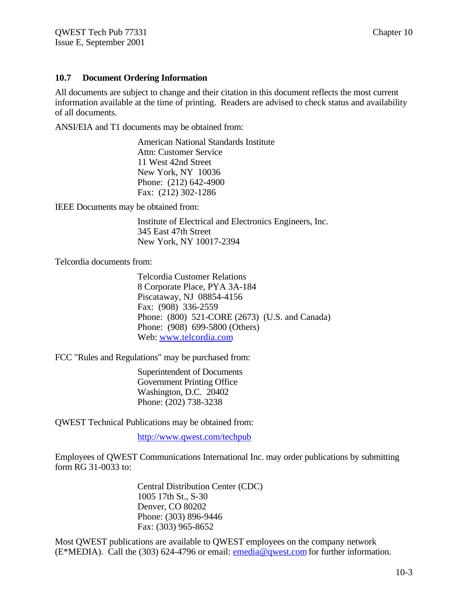### **10.7 Document Ordering Information**

All documents are subject to change and their citation in this document reflects the most current information available at the time of printing. Readers are advised to check status and availability of all documents.

ANSI/EIA and T1 documents may be obtained from:

American National Standards Institute Attn: Customer Service 11 West 42nd Street New York, NY 10036 Phone: (212) 642-4900 Fax: (212) 302-1286

IEEE Documents may be obtained from:

Institute of Electrical and Electronics Engineers, Inc. 345 East 47th Street New York, NY 10017-2394

Telcordia documents from:

Telcordia Customer Relations 8 Corporate Place, PYA 3A-184 Piscataway, NJ 08854-4156 Fax: (908) 336-2559 Phone: (800) 521-CORE (2673) (U.S. and Canada) Phone: (908) 699-5800 (Others) Web: www.telcordia.com

FCC "Rules and Regulations" may be purchased from:

Superintendent of Documents Government Printing Office Washington, D.C. 20402 Phone: (202) 738-3238

QWEST Technical Publications may be obtained from:

http://www.qwest.com/techpub

Employees of QWEST Communications International Inc. may order publications by submitting form RG 31-0033 to:

> Central Distribution Center (CDC) 1005 17th St., S-30 Denver, CO 80202 Phone: (303) 896-9446 Fax: (303) 965-8652

Most QWEST publications are available to QWEST employees on the company network (E\*MEDIA). Call the (303) 624-4796 or email: emedia@qwest.com for further information.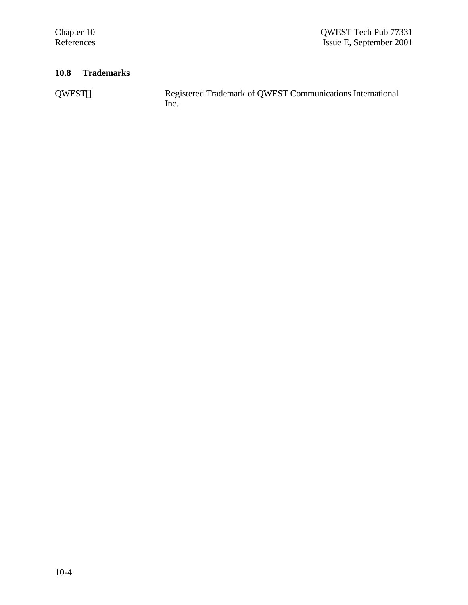# **10.8 Trademarks**

QWEST® Registered Trademark of QWEST Communications International Inc.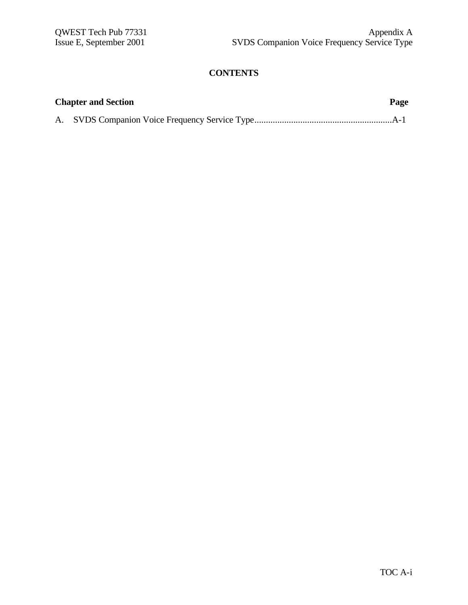# **CONTENTS**

| <b>Chapter and Section</b> | Page |
|----------------------------|------|
|                            |      |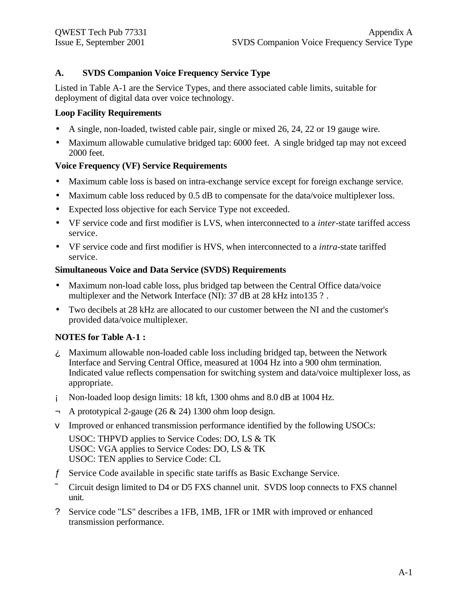# **A. SVDS Companion Voice Frequency Service Type**

Listed in Table A-1 are the Service Types, and there associated cable limits, suitable for deployment of digital data over voice technology.

### **Loop Facility Requirements**

- A single, non-loaded, twisted cable pair, single or mixed 26, 24, 22 or 19 gauge wire.
- Maximum allowable cumulative bridged tap: 6000 feet. A single bridged tap may not exceed 2000 feet.

# **Voice Frequency (VF) Service Requirements**

- Maximum cable loss is based on intra-exchange service except for foreign exchange service.
- Maximum cable loss reduced by 0.5 dB to compensate for the data/voice multiplexer loss.
- Expected loss objective for each Service Type not exceeded.
- VF service code and first modifier is LVS, when interconnected to a *inter*-state tariffed access service.
- VF service code and first modifier is HVS, when interconnected to a *intra*-state tariffed service.

### **Simultaneous Voice and Data Service (SVDS) Requirements**

- Maximum non-load cable loss, plus bridged tap between the Central Office data/voice multiplexer and the Network Interface (NI): 37 dB at 28 kHz into 135 ?.
- Two decibels at 28 kHz are allocated to our customer between the NI and the customer's provided data/voice multiplexer.

# **NOTES for Table A-1 :**

- ¿ Maximum allowable non-loaded cable loss including bridged tap, between the Network Interface and Serving Central Office, measured at 1004 Hz into a 900 ohm termination. Indicated value reflects compensation for switching system and data/voice multiplexer loss, as appropriate.
- ¡ Non-loaded loop design limits: 18 kft, 1300 ohms and 8.0 dB at 1004 Hz.
- ¬ A prototypical 2-gauge (26 & 24) 1300 ohm loop design.
- v Improved or enhanced transmission performance identified by the following USOCs:

USOC: THPVD applies to Service Codes: DO, LS & TK USOC: VGA applies to Service Codes: DO, LS & TK USOC: TEN applies to Service Code: CL

- ƒ Service Code available in specific state tariffs as Basic Exchange Service.
- ˜ Circuit design limited to D4 or D5 FXS channel unit. SVDS loop connects to FXS channel unit.
- ? Service code "LS" describes a 1FB, 1MB, 1FR or 1MR with improved or enhanced transmission performance.